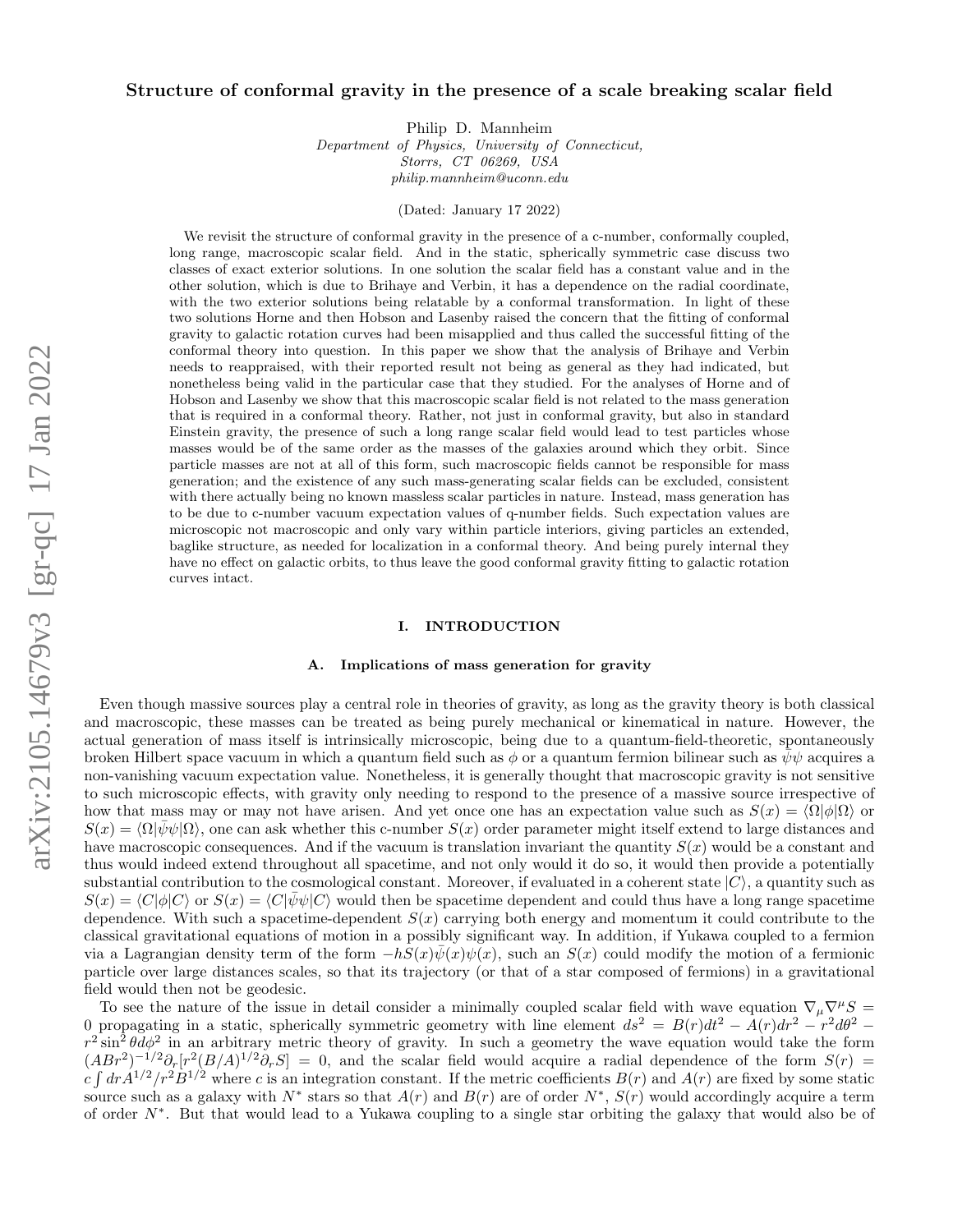# Structure of conformal gravity in the presence of a scale breaking scalar field

Philip D. Mannheim

Department of Physics, University of Connecticut, Storrs, CT 06269, USA philip.mannheim@uconn.edu

(Dated: January 17 2022)

We revisit the structure of conformal gravity in the presence of a c-number, conformally coupled, long range, macroscopic scalar field. And in the static, spherically symmetric case discuss two classes of exact exterior solutions. In one solution the scalar field has a constant value and in the other solution, which is due to Brihaye and Verbin, it has a dependence on the radial coordinate, with the two exterior solutions being relatable by a conformal transformation. In light of these two solutions Horne and then Hobson and Lasenby raised the concern that the fitting of conformal gravity to galactic rotation curves had been misapplied and thus called the successful fitting of the conformal theory into question. In this paper we show that the analysis of Brihaye and Verbin needs to reappraised, with their reported result not being as general as they had indicated, but nonetheless being valid in the particular case that they studied. For the analyses of Horne and of Hobson and Lasenby we show that this macroscopic scalar field is not related to the mass generation that is required in a conformal theory. Rather, not just in conformal gravity, but also in standard Einstein gravity, the presence of such a long range scalar field would lead to test particles whose masses would be of the same order as the masses of the galaxies around which they orbit. Since particle masses are not at all of this form, such macroscopic fields cannot be responsible for mass generation; and the existence of any such mass-generating scalar fields can be excluded, consistent with there actually being no known massless scalar particles in nature. Instead, mass generation has to be due to c-number vacuum expectation values of q-number fields. Such expectation values are microscopic not macroscopic and only vary within particle interiors, giving particles an extended, baglike structure, as needed for localization in a conformal theory. And being purely internal they have no effect on galactic orbits, to thus leave the good conformal gravity fitting to galactic rotation curves intact.

# <span id="page-0-0"></span>I. INTRODUCTION

# A. Implications of mass generation for gravity

Even though massive sources play a central role in theories of gravity, as long as the gravity theory is both classical and macroscopic, these masses can be treated as being purely mechanical or kinematical in nature. However, the actual generation of mass itself is intrinsically microscopic, being due to a quantum-field-theoretic, spontaneously broken Hilbert space vacuum in which a quantum field such as  $\phi$  or a quantum fermion bilinear such as  $\psi\psi$  acquires a non-vanishing vacuum expectation value. Nonetheless, it is generally thought that macroscopic gravity is not sensitive to such microscopic effects, with gravity only needing to respond to the presence of a massive source irrespective of how that mass may or may not have arisen. And yet once one has an expectation value such as  $S(x) = \langle \Omega | \phi | \Omega \rangle$  or  $S(x) = \langle \Omega | \psi \psi | \Omega \rangle$ , one can ask whether this c-number  $S(x)$  order parameter might itself extend to large distances and have macroscopic consequences. And if the vacuum is translation invariant the quantity  $S(x)$  would be a constant and thus would indeed extend throughout all spacetime, and not only would it do so, it would then provide a potentially substantial contribution to the cosmological constant. Moreover, if evaluated in a coherent state  $|C\rangle$ , a quantity such as  $S(x) = \langle C|\phi|C\rangle$  or  $S(x) = \langle C|\psi\psi|C\rangle$  would then be spacetime dependent and could thus have a long range spacetime dependence. With such a spacetime-dependent  $S(x)$  carrying both energy and momentum it could contribute to the classical gravitational equations of motion in a possibly significant way. In addition, if Yukawa coupled to a fermion via a Lagrangian density term of the form  $-hS(x)\psi(x)\psi(x)$ , such an  $S(x)$  could modify the motion of a fermionic particle over large distances scales, so that its trajectory (or that of a star composed of fermions) in a gravitational field would then not be geodesic.

To see the nature of the issue in detail consider a minimally coupled scalar field with wave equation  $\nabla_\mu \nabla^\mu S$ 0 propagating in a static, spherically symmetric geometry with line element  $ds^2 = B(r)dt^2 - A(r)dr^2 - r^2d\theta^2$  $r^2 \sin^2 \theta d\phi^2$  in an arbitrary metric theory of gravity. In such a geometry the wave equation would take the form  $(ABr^2)^{-1/2}\partial_r[r^2(B/A)^{1/2}\partial_rS] = 0$ , and the scalar field would acquire a radial dependence of the form  $S(r)$  $c \int dr A^{1/2}/r^2 B^{1/2}$  where c is an integration constant. If the metric coefficients  $B(r)$  and  $A(r)$  are fixed by some static source such as a galaxy with  $N^*$  stars so that  $A(r)$  and  $B(r)$  are of order  $N^*$ ,  $S(r)$  would accordingly acquire a term of order N<sup>∗</sup> . But that would lead to a Yukawa coupling to a single star orbiting the galaxy that would also be of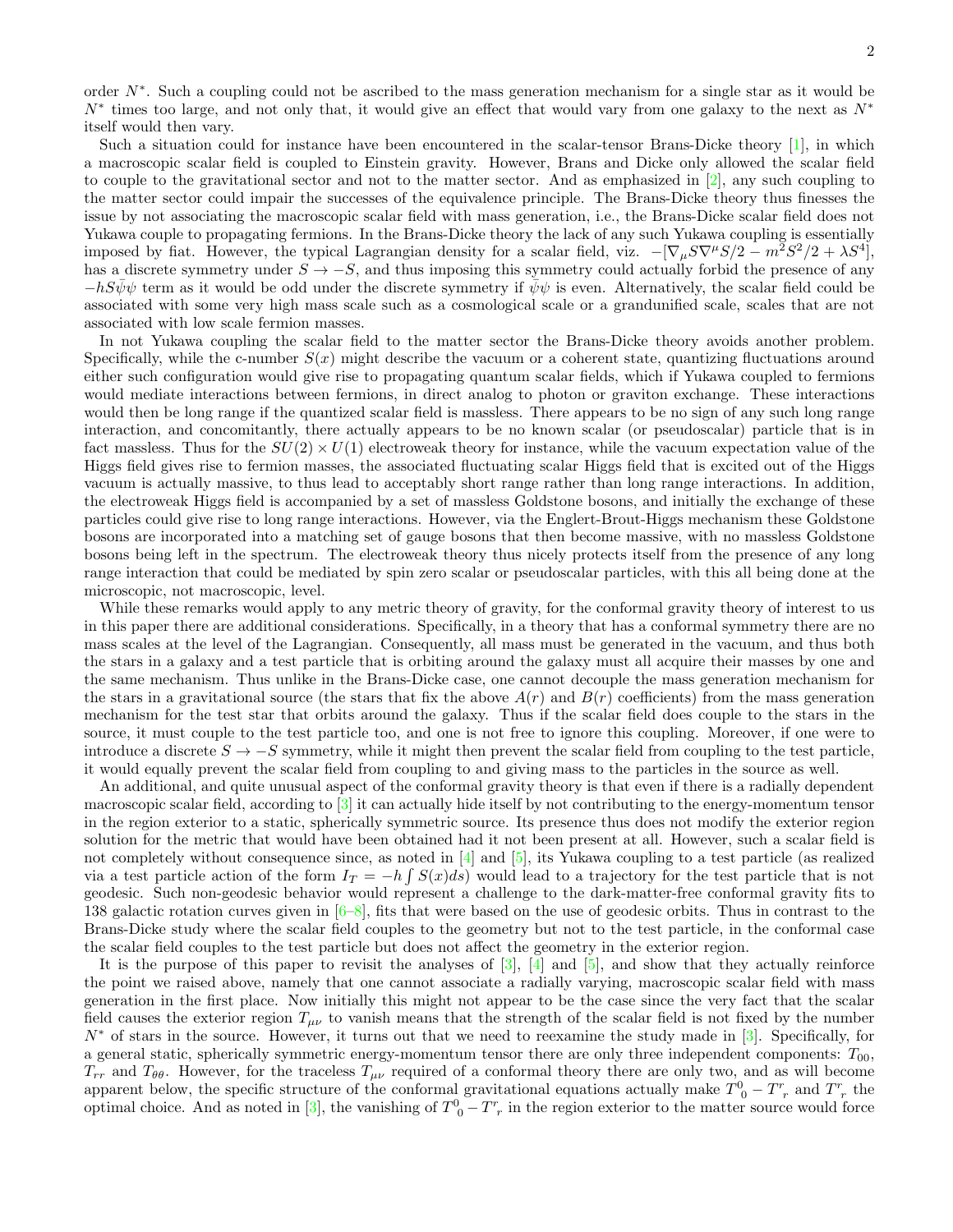order N∗ . Such a coupling could not be ascribed to the mass generation mechanism for a single star as it would be  $N^*$  times too large, and not only that, it would give an effect that would vary from one galaxy to the next as  $N^*$ itself would then vary.

Such a situation could for instance have been encountered in the scalar-tensor Brans-Dicke theory [\[1\]](#page-19-0), in which a macroscopic scalar field is coupled to Einstein gravity. However, Brans and Dicke only allowed the scalar field to couple to the gravitational sector and not to the matter sector. And as emphasized in  $[2]$ , any such coupling to the matter sector could impair the successes of the equivalence principle. The Brans-Dicke theory thus finesses the issue by not associating the macroscopic scalar field with mass generation, i.e., the Brans-Dicke scalar field does not Yukawa couple to propagating fermions. In the Brans-Dicke theory the lack of any such Yukawa coupling is essentially imposed by fiat. However, the typical Lagrangian density for a scalar field, viz.  $-[\nabla_{\mu}S\nabla^{\mu}S/2 - m^2S^2/2 + \lambda S^4]$ , has a discrete symmetry under  $S \to -S$ , and thus imposing this symmetry could actually forbid the presence of any  $-hS\psi\psi$  term as it would be odd under the discrete symmetry if  $\psi\psi$  is even. Alternatively, the scalar field could be associated with some very high mass scale such as a cosmological scale or a grandunified scale, scales that are not associated with low scale fermion masses.

In not Yukawa coupling the scalar field to the matter sector the Brans-Dicke theory avoids another problem. Specifically, while the c-number  $S(x)$  might describe the vacuum or a coherent state, quantizing fluctuations around either such configuration would give rise to propagating quantum scalar fields, which if Yukawa coupled to fermions would mediate interactions between fermions, in direct analog to photon or graviton exchange. These interactions would then be long range if the quantized scalar field is massless. There appears to be no sign of any such long range interaction, and concomitantly, there actually appears to be no known scalar (or pseudoscalar) particle that is in fact massless. Thus for the  $SU(2) \times U(1)$  electroweak theory for instance, while the vacuum expectation value of the Higgs field gives rise to fermion masses, the associated fluctuating scalar Higgs field that is excited out of the Higgs vacuum is actually massive, to thus lead to acceptably short range rather than long range interactions. In addition, the electroweak Higgs field is accompanied by a set of massless Goldstone bosons, and initially the exchange of these particles could give rise to long range interactions. However, via the Englert-Brout-Higgs mechanism these Goldstone bosons are incorporated into a matching set of gauge bosons that then become massive, with no massless Goldstone bosons being left in the spectrum. The electroweak theory thus nicely protects itself from the presence of any long range interaction that could be mediated by spin zero scalar or pseudoscalar particles, with this all being done at the microscopic, not macroscopic, level.

While these remarks would apply to any metric theory of gravity, for the conformal gravity theory of interest to us in this paper there are additional considerations. Specifically, in a theory that has a conformal symmetry there are no mass scales at the level of the Lagrangian. Consequently, all mass must be generated in the vacuum, and thus both the stars in a galaxy and a test particle that is orbiting around the galaxy must all acquire their masses by one and the same mechanism. Thus unlike in the Brans-Dicke case, one cannot decouple the mass generation mechanism for the stars in a gravitational source (the stars that fix the above  $A(r)$  and  $B(r)$  coefficients) from the mass generation mechanism for the test star that orbits around the galaxy. Thus if the scalar field does couple to the stars in the source, it must couple to the test particle too, and one is not free to ignore this coupling. Moreover, if one were to introduce a discrete  $S \to -S$  symmetry, while it might then prevent the scalar field from coupling to the test particle, it would equally prevent the scalar field from coupling to and giving mass to the particles in the source as well.

An additional, and quite unusual aspect of the conformal gravity theory is that even if there is a radially dependent macroscopic scalar field, according to [\[3\]](#page-19-2) it can actually hide itself by not contributing to the energy-momentum tensor in the region exterior to a static, spherically symmetric source. Its presence thus does not modify the exterior region solution for the metric that would have been obtained had it not been present at all. However, such a scalar field is not completely without consequence since, as noted in [\[4\]](#page-19-3) and [\[5\]](#page-19-4), its Yukawa coupling to a test particle (as realized via a test particle action of the form  $I_T = -h \int S(x)ds$  would lead to a trajectory for the test particle that is not geodesic. Such non-geodesic behavior would represent a challenge to the dark-matter-free conformal gravity fits to 138 galactic rotation curves given in  $[6–8]$  $[6–8]$ , fits that were based on the use of geodesic orbits. Thus in contrast to the Brans-Dicke study where the scalar field couples to the geometry but not to the test particle, in the conformal case the scalar field couples to the test particle but does not affect the geometry in the exterior region.

It is the purpose of this paper to revisit the analyses of  $[3]$ ,  $[4]$  and  $[5]$ , and show that they actually reinforce the point we raised above, namely that one cannot associate a radially varying, macroscopic scalar field with mass generation in the first place. Now initially this might not appear to be the case since the very fact that the scalar field causes the exterior region  $T_{\mu\nu}$  to vanish means that the strength of the scalar field is not fixed by the number N<sup>∗</sup> of stars in the source. However, it turns out that we need to reexamine the study made in [\[3\]](#page-19-2). Specifically, for a general static, spherically symmetric energy-momentum tensor there are only three independent components:  $T_{00}$ ,  $T_{rr}$  and  $T_{\theta\theta}$ . However, for the traceless  $T_{\mu\nu}$  required of a conformal theory there are only two, and as will become apparent below, the specific structure of the conformal gravitational equations actually make  $T^0{}_0 - T^r{}_r$  and  $T^r{}_r$  the optimal choice. And as noted in [\[3\]](#page-19-2), the vanishing of  $T^0_{\ 0} - T^r_{\ r}$  in the region exterior to the matter source would force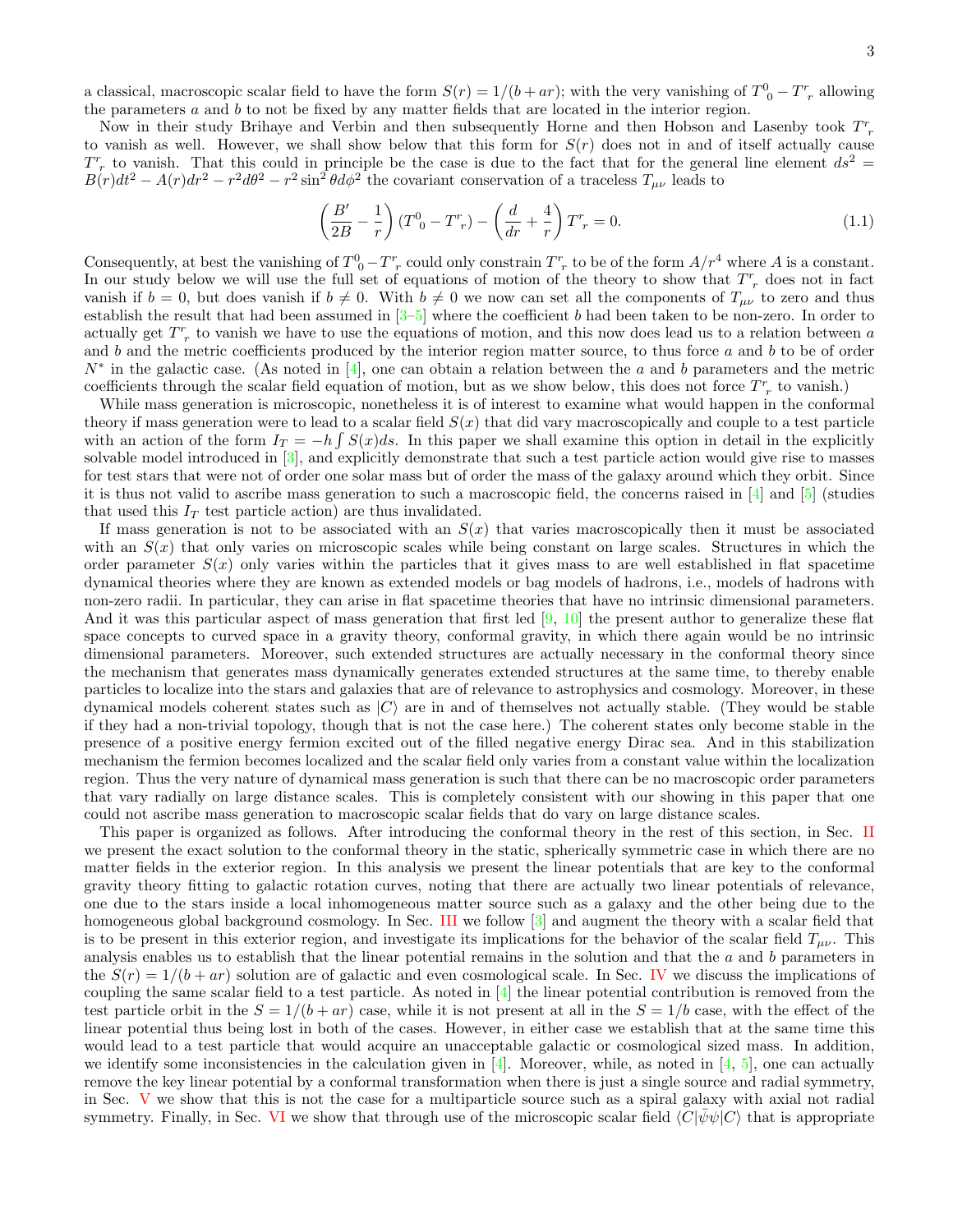a classical, macroscopic scalar field to have the form  $S(r) = 1/(b + ar)$ ; with the very vanishing of  $T^0_{\ 0} - T^r_{\ r}$  allowing the parameters  $a$  and  $b$  to not be fixed by any matter fields that are located in the interior region.

Now in their study Brihaye and Verbin and then subsequently Horne and then Hobson and Lasenby took  $T^r_{\ r}$ to vanish as well. However, we shall show below that this form for  $S(r)$  does not in and of itself actually cause  $T_r^r$  to vanish. That this could in principle be the case is due to the fact that for the general line element  $ds^2 =$  $B(r)dt^2 - A(r)dr^2 - r^2 d\theta^2 - r^2 \sin^2 \theta d\phi^2$  the covariant conservation of a traceless  $T_{\mu\nu}$  leads to

$$
\left(\frac{B'}{2B} - \frac{1}{r}\right)(T^0{}_0 - T^r{}_r) - \left(\frac{d}{dr} + \frac{4}{r}\right)T^r{}_r = 0.
$$
\n(1.1)

Consequently, at best the vanishing of  $T_0^0 - T_r^r$  could only constrain  $T_r^r$  to be of the form  $A/r^4$  where A is a constant. In our study below we will use the full set of equations of motion of the theory to show that  $T^r_{\;r}$  does not in fact vanish if  $b = 0$ , but does vanish if  $b \neq 0$ . With  $b \neq 0$  we now can set all the components of  $T_{\mu\nu}$  to zero and thus establish the result that had been assumed in  $[3-5]$  $[3-5]$  where the coefficient b had been taken to be non-zero. In order to actually get  $T_r^r$  to vanish we have to use the equations of motion, and this now does lead us to a relation between a and  $b$  and the metric coefficients produced by the interior region matter source, to thus force  $a$  and  $b$  to be of order  $N^*$  in the galactic case. (As noted in [\[4\]](#page-19-3), one can obtain a relation between the a and b parameters and the metric coefficients through the scalar field equation of motion, but as we show below, this does not force  $T^r$  to vanish.)

While mass generation is microscopic, nonetheless it is of interest to examine what would happen in the conformal theory if mass generation were to lead to a scalar field  $S(x)$  that did vary macroscopically and couple to a test particle with an action of the form  $I_T = -h \int S(x)ds$ . In this paper we shall examine this option in detail in the explicitly solvable model introduced in [\[3\]](#page-19-2), and explicitly demonstrate that such a test particle action would give rise to masses for test stars that were not of order one solar mass but of order the mass of the galaxy around which they orbit. Since it is thus not valid to ascribe mass generation to such a macroscopic field, the concerns raised in  $[4]$  and  $[5]$  (studies that used this  $I_T$  test particle action) are thus invalidated.

If mass generation is not to be associated with an  $S(x)$  that varies macroscopically then it must be associated with an  $S(x)$  that only varies on microscopic scales while being constant on large scales. Structures in which the order parameter  $S(x)$  only varies within the particles that it gives mass to are well established in flat spacetime dynamical theories where they are known as extended models or bag models of hadrons, i.e., models of hadrons with non-zero radii. In particular, they can arise in flat spacetime theories that have no intrinsic dimensional parameters. And it was this particular aspect of mass generation that first led [\[9,](#page-19-7) [10\]](#page-19-8) the present author to generalize these flat space concepts to curved space in a gravity theory, conformal gravity, in which there again would be no intrinsic dimensional parameters. Moreover, such extended structures are actually necessary in the conformal theory since the mechanism that generates mass dynamically generates extended structures at the same time, to thereby enable particles to localize into the stars and galaxies that are of relevance to astrophysics and cosmology. Moreover, in these dynamical models coherent states such as  $|C\rangle$  are in and of themselves not actually stable. (They would be stable if they had a non-trivial topology, though that is not the case here.) The coherent states only become stable in the presence of a positive energy fermion excited out of the filled negative energy Dirac sea. And in this stabilization mechanism the fermion becomes localized and the scalar field only varies from a constant value within the localization region. Thus the very nature of dynamical mass generation is such that there can be no macroscopic order parameters that vary radially on large distance scales. This is completely consistent with our showing in this paper that one could not ascribe mass generation to macroscopic scalar fields that do vary on large distance scales.

This paper is organized as follows. After introducing the conformal theory in the rest of this section, in Sec. [II](#page-4-0) we present the exact solution to the conformal theory in the static, spherically symmetric case in which there are no matter fields in the exterior region. In this analysis we present the linear potentials that are key to the conformal gravity theory fitting to galactic rotation curves, noting that there are actually two linear potentials of relevance, one due to the stars inside a local inhomogeneous matter source such as a galaxy and the other being due to the homogeneous global background cosmology. In Sec. [III](#page-7-0) we follow [\[3\]](#page-19-2) and augment the theory with a scalar field that is to be present in this exterior region, and investigate its implications for the behavior of the scalar field  $T_{\mu\nu}$ . This analysis enables us to establish that the linear potential remains in the solution and that the a and b parameters in the  $S(r) = 1/(b + ar)$  solution are of galactic and even cosmological scale. In Sec. [IV](#page-10-0) we discuss the implications of coupling the same scalar field to a test particle. As noted in  $[4]$  the linear potential contribution is removed from the test particle orbit in the  $S = 1/(b + ar)$  case, while it is not present at all in the  $S = 1/b$  case, with the effect of the linear potential thus being lost in both of the cases. However, in either case we establish that at the same time this would lead to a test particle that would acquire an unacceptable galactic or cosmological sized mass. In addition, we identify some inconsistencies in the calculation given in [\[4\]](#page-19-3). Moreover, while, as noted in [\[4,](#page-19-3) [5\]](#page-19-4), one can actually remove the key linear potential by a conformal transformation when there is just a single source and radial symmetry, in Sec. [V](#page-13-0) we show that this is not the case for a multiparticle source such as a spiral galaxy with axial not radial symmetry. Finally, in Sec. [VI](#page-14-0) we show that through use of the microscopic scalar field  $\langle C|\psi\psi|C\rangle$  that is appropriate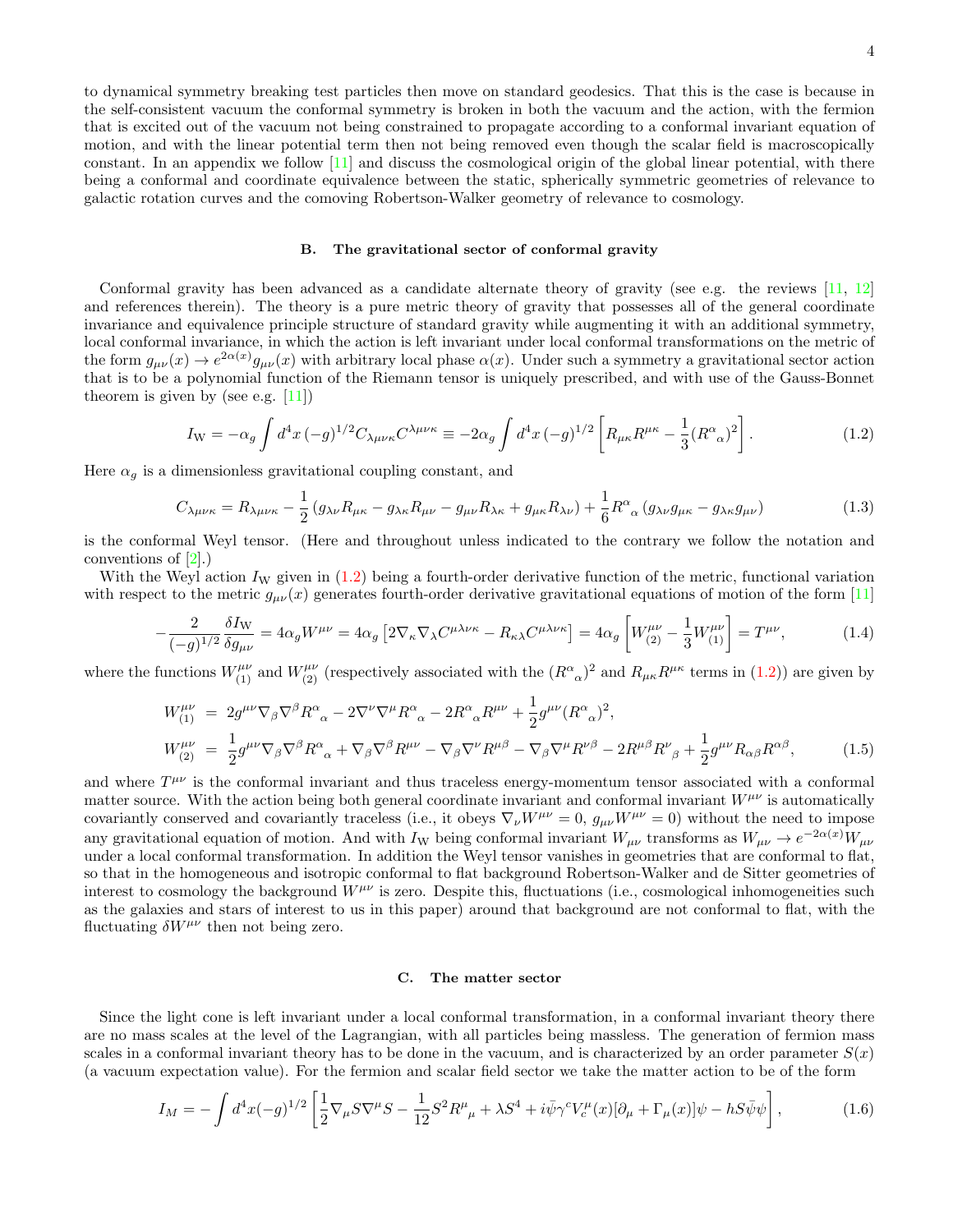to dynamical symmetry breaking test particles then move on standard geodesics. That this is the case is because in the self-consistent vacuum the conformal symmetry is broken in both the vacuum and the action, with the fermion that is excited out of the vacuum not being constrained to propagate according to a conformal invariant equation of motion, and with the linear potential term then not being removed even though the scalar field is macroscopically constant. In an appendix we follow [\[11\]](#page-19-9) and discuss the cosmological origin of the global linear potential, with there being a conformal and coordinate equivalence between the static, spherically symmetric geometries of relevance to galactic rotation curves and the comoving Robertson-Walker geometry of relevance to cosmology.

## B. The gravitational sector of conformal gravity

Conformal gravity has been advanced as a candidate alternate theory of gravity (see e.g. the reviews [\[11,](#page-19-9) [12\]](#page-19-10) and references therein). The theory is a pure metric theory of gravity that possesses all of the general coordinate invariance and equivalence principle structure of standard gravity while augmenting it with an additional symmetry, local conformal invariance, in which the action is left invariant under local conformal transformations on the metric of the form  $g_{\mu\nu}(x) \to e^{2\alpha(x)} g_{\mu\nu}(x)$  with arbitrary local phase  $\alpha(x)$ . Under such a symmetry a gravitational sector action that is to be a polynomial function of the Riemann tensor is uniquely prescribed, and with use of the Gauss-Bonnet theorem is given by (see e.g.  $[11]$ )

<span id="page-3-0"></span>
$$
I_{\rm W} = -\alpha_g \int d^4x \, (-g)^{1/2} C_{\lambda\mu\nu\kappa} C^{\lambda\mu\nu\kappa} \equiv -2\alpha_g \int d^4x \, (-g)^{1/2} \left[ R_{\mu\kappa} R^{\mu\kappa} - \frac{1}{3} (R^{\alpha}{}_{\alpha})^2 \right]. \tag{1.2}
$$

Here  $\alpha_g$  is a dimensionless gravitational coupling constant, and

$$
C_{\lambda\mu\nu\kappa} = R_{\lambda\mu\nu\kappa} - \frac{1}{2} \left( g_{\lambda\nu} R_{\mu\kappa} - g_{\lambda\kappa} R_{\mu\nu} - g_{\mu\nu} R_{\lambda\kappa} + g_{\mu\kappa} R_{\lambda\nu} \right) + \frac{1}{6} R^{\alpha}{}_{\alpha} \left( g_{\lambda\nu} g_{\mu\kappa} - g_{\lambda\kappa} g_{\mu\nu} \right) \tag{1.3}
$$

is the conformal Weyl tensor. (Here and throughout unless indicated to the contrary we follow the notation and conventions of [\[2\]](#page-19-1).)

With the Weyl action  $I_W$  given in  $(1.2)$  being a fourth-order derivative function of the metric, functional variation with respect to the metric  $g_{\mu\nu}(x)$  generates fourth-order derivative gravitational equations of motion of the form [\[11\]](#page-19-9)

<span id="page-3-1"></span>
$$
-\frac{2}{(-g)^{1/2}}\frac{\delta I_W}{\delta g_{\mu\nu}} = 4\alpha_g W^{\mu\nu} = 4\alpha_g \left[2\nabla_\kappa\nabla_\lambda C^{\mu\lambda\nu\kappa} - R_{\kappa\lambda}C^{\mu\lambda\nu\kappa}\right] = 4\alpha_g \left[W_{(2)}^{\mu\nu} - \frac{1}{3}W_{(1)}^{\mu\nu}\right] = T^{\mu\nu},\tag{1.4}
$$

where the functions  $W^{\mu\nu}_{(1)}$  and  $W^{\mu\nu}_{(2)}$  (respectively associated with the  $(R^{\alpha}_{\alpha})^2$  and  $R_{\mu\kappa}R^{\mu\kappa}$  terms in [\(1.2\)](#page-3-0)) are given by

$$
W^{\mu\nu}_{(1)} = 2g^{\mu\nu}\nabla_{\beta}\nabla^{\beta}R^{\alpha}_{\alpha} - 2\nabla^{\nu}\nabla^{\mu}R^{\alpha}_{\alpha} - 2R^{\alpha}_{\alpha}R^{\mu\nu} + \frac{1}{2}g^{\mu\nu}(R^{\alpha}_{\alpha})^{2},
$$
  
\n
$$
W^{\mu\nu}_{(2)} = \frac{1}{2}g^{\mu\nu}\nabla_{\beta}\nabla^{\beta}R^{\alpha}_{\alpha} + \nabla_{\beta}\nabla^{\beta}R^{\mu\nu} - \nabla_{\beta}\nabla^{\nu}R^{\mu\beta} - \nabla_{\beta}\nabla^{\mu}R^{\nu\beta} - 2R^{\mu\beta}R^{\nu}_{\beta} + \frac{1}{2}g^{\mu\nu}R_{\alpha\beta}R^{\alpha\beta},
$$
\n(1.5)

and where  $T^{\mu\nu}$  is the conformal invariant and thus traceless energy-momentum tensor associated with a conformal matter source. With the action being both general coordinate invariant and conformal invariant  $W^{\mu\nu}$  is automatically covariantly conserved and covariantly traceless (i.e., it obeys  $\nabla_{\nu}W^{\mu\nu} = 0$ ,  $g_{\mu\nu}W^{\mu\nu} = 0$ ) without the need to impose any gravitational equation of motion. And with I<sub>W</sub> being conformal invariant  $W_{\mu\nu}$  transforms as  $W_{\mu\nu} \to e^{-2\alpha(x)} W_{\mu\nu}$ under a local conformal transformation. In addition the Weyl tensor vanishes in geometries that are conformal to flat, so that in the homogeneous and isotropic conformal to flat background Robertson-Walker and de Sitter geometries of interest to cosmology the background  $W^{\mu\nu}$  is zero. Despite this, fluctuations (i.e., cosmological inhomogeneities such as the galaxies and stars of interest to us in this paper) around that background are not conformal to flat, with the fluctuating  $\delta W^{\mu\nu}$  then not being zero.

#### C. The matter sector

Since the light cone is left invariant under a local conformal transformation, in a conformal invariant theory there are no mass scales at the level of the Lagrangian, with all particles being massless. The generation of fermion mass scales in a conformal invariant theory has to be done in the vacuum, and is characterized by an order parameter  $S(x)$ (a vacuum expectation value). For the fermion and scalar field sector we take the matter action to be of the form

<span id="page-3-2"></span>
$$
I_M = -\int d^4x (-g)^{1/2} \left[ \frac{1}{2} \nabla_{\mu} S \nabla^{\mu} S - \frac{1}{12} S^2 R^{\mu}_{\ \mu} + \lambda S^4 + i \bar{\psi} \gamma^c V_c^{\mu}(x) [\partial_{\mu} + \Gamma_{\mu}(x)] \psi - h S \bar{\psi} \psi \right],\tag{1.6}
$$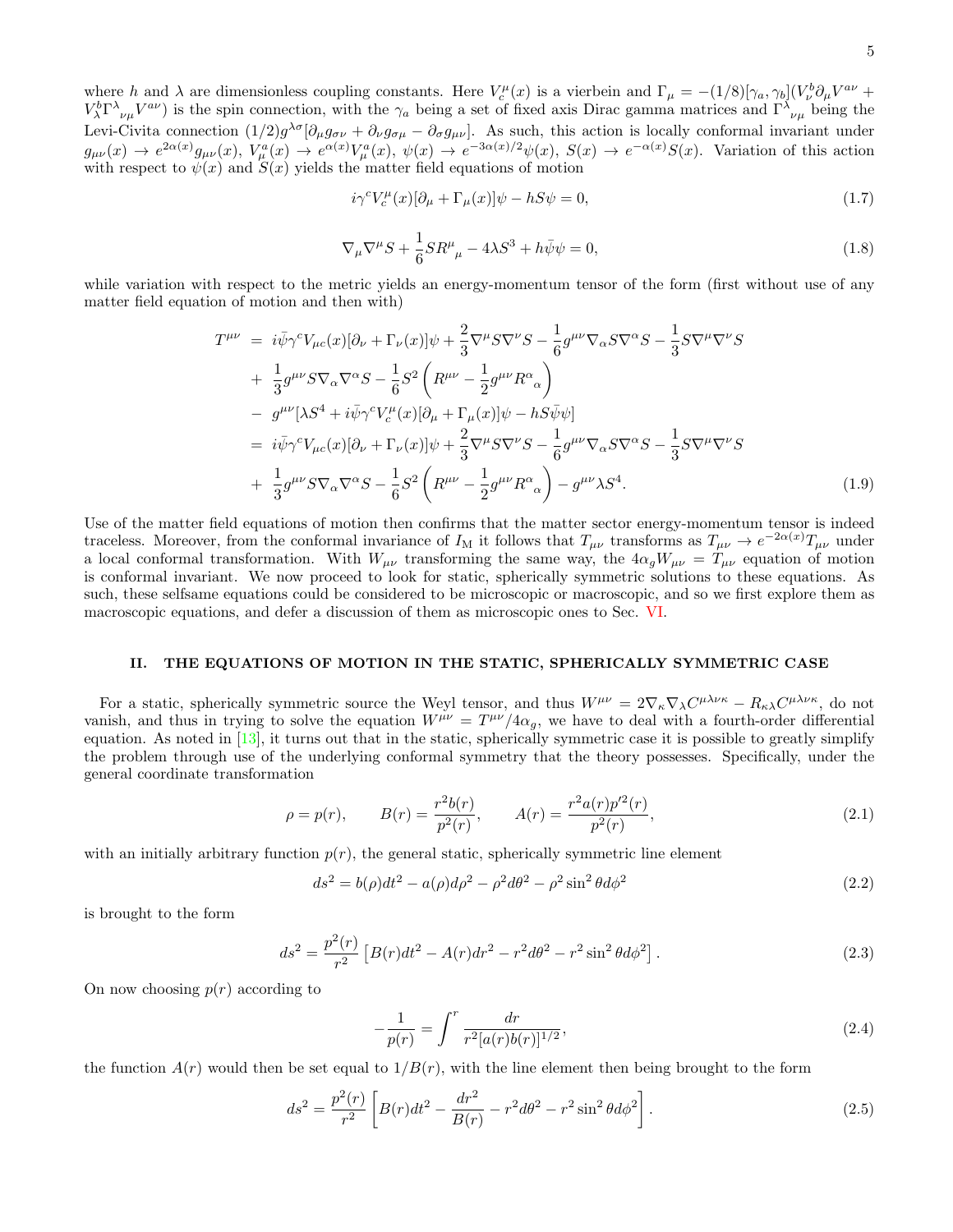<span id="page-4-6"></span>
$$
i\gamma^{c}V_{c}^{\mu}(x)[\partial_{\mu} + \Gamma_{\mu}(x)]\psi - hS\psi = 0, \qquad (1.7)
$$

<span id="page-4-3"></span>
$$
\nabla_{\mu}\nabla^{\mu}S + \frac{1}{6}SR^{\mu}_{\mu} - 4\lambda S^3 + h\bar{\psi}\psi = 0,
$$
\n(1.8)

while variation with respect to the metric yields an energy-momentum tensor of the form (first without use of any matter field equation of motion and then with)

<span id="page-4-4"></span>
$$
T^{\mu\nu} = i\bar{\psi}\gamma^{c}V_{\mu c}(x)[\partial_{\nu} + \Gamma_{\nu}(x)]\psi + \frac{2}{3}\nabla^{\mu}S\nabla^{\nu}S - \frac{1}{6}g^{\mu\nu}\nabla_{\alpha}S\nabla^{\alpha}S - \frac{1}{3}S\nabla^{\mu}\nabla^{\nu}S + \frac{1}{3}g^{\mu\nu}S\nabla_{\alpha}\nabla^{\alpha}S - \frac{1}{6}S^{2}\left(R^{\mu\nu} - \frac{1}{2}g^{\mu\nu}R^{\alpha}_{\alpha}\right) - g^{\mu\nu}[\lambda S^{4} + i\bar{\psi}\gamma^{c}V_{c}^{\mu}(x)[\partial_{\mu} + \Gamma_{\mu}(x)]\psi - hS\bar{\psi}\psi] = i\bar{\psi}\gamma^{c}V_{\mu c}(x)[\partial_{\nu} + \Gamma_{\nu}(x)]\psi + \frac{2}{3}\nabla^{\mu}S\nabla^{\nu}S - \frac{1}{6}g^{\mu\nu}\nabla_{\alpha}S\nabla^{\alpha}S - \frac{1}{3}S\nabla^{\mu}\nabla^{\nu}S + \frac{1}{3}g^{\mu\nu}S\nabla_{\alpha}\nabla^{\alpha}S - \frac{1}{6}S^{2}\left(R^{\mu\nu} - \frac{1}{2}g^{\mu\nu}R^{\alpha}_{\alpha}\right) - g^{\mu\nu}\lambda S^{4}.
$$
\n(1.9)

Use of the matter field equations of motion then confirms that the matter sector energy-momentum tensor is indeed traceless. Moreover, from the conformal invariance of  $I_M$  it follows that  $T_{\mu\nu}$  transforms as  $T_{\mu\nu} \to e^{-2\alpha(x)} T_{\mu\nu}$  under a local conformal transformation. With  $W_{\mu\nu}$  transforming the same way, the  $4\alpha_g W_{\mu\nu} = T_{\mu\nu}$  equation of motion is conformal invariant. We now proceed to look for static, spherically symmetric solutions to these equations. As such, these selfsame equations could be considered to be microscopic or macroscopic, and so we first explore them as macroscopic equations, and defer a discussion of them as microscopic ones to Sec. [VI.](#page-14-0)

## <span id="page-4-0"></span>II. THE EQUATIONS OF MOTION IN THE STATIC, SPHERICALLY SYMMETRIC CASE

For a static, spherically symmetric source the Weyl tensor, and thus  $W^{\mu\nu} = 2\nabla_{\kappa}\nabla_{\lambda}C^{\mu\lambda\nu\kappa} - R_{\kappa\lambda}C^{\mu\lambda\nu\kappa}$ , do not vanish, and thus in trying to solve the equation  $W^{\mu\nu} = T^{\mu\nu}/4\alpha_g$ , we have to deal with a fourth-order differential equation. As noted in  $[13]$ , it turns out that in the static, spherically symmetric case it is possible to greatly simplify the problem through use of the underlying conformal symmetry that the theory possesses. Specifically, under the general coordinate transformation

$$
\rho = p(r), \qquad B(r) = \frac{r^2 b(r)}{p^2(r)}, \qquad A(r) = \frac{r^2 a(r) p'^2(r)}{p^2(r)}, \tag{2.1}
$$

with an initially arbitrary function  $p(r)$ , the general static, spherically symmetric line element

<span id="page-4-2"></span>
$$
ds^{2} = b(\rho)dt^{2} - a(\rho)d\rho^{2} - \rho^{2}d\theta^{2} - \rho^{2}\sin^{2}\theta d\phi^{2}
$$
\n(2.2)

is brought to the form

$$
ds^{2} = \frac{p^{2}(r)}{r^{2}} \left[ B(r)dt^{2} - A(r)dr^{2} - r^{2}d\theta^{2} - r^{2}\sin^{2}\theta d\phi^{2} \right].
$$
 (2.3)

On now choosing  $p(r)$  according to

<span id="page-4-5"></span>
$$
-\frac{1}{p(r)} = \int^r \frac{dr}{r^2 [a(r)b(r)]^{1/2}},\tag{2.4}
$$

the function  $A(r)$  would then be set equal to  $1/B(r)$ , with the line element then being brought to the form

<span id="page-4-1"></span>
$$
ds^{2} = \frac{p^{2}(r)}{r^{2}} \left[ B(r)dt^{2} - \frac{dr^{2}}{B(r)} - r^{2}d\theta^{2} - r^{2}\sin^{2}\theta d\phi^{2} \right].
$$
 (2.5)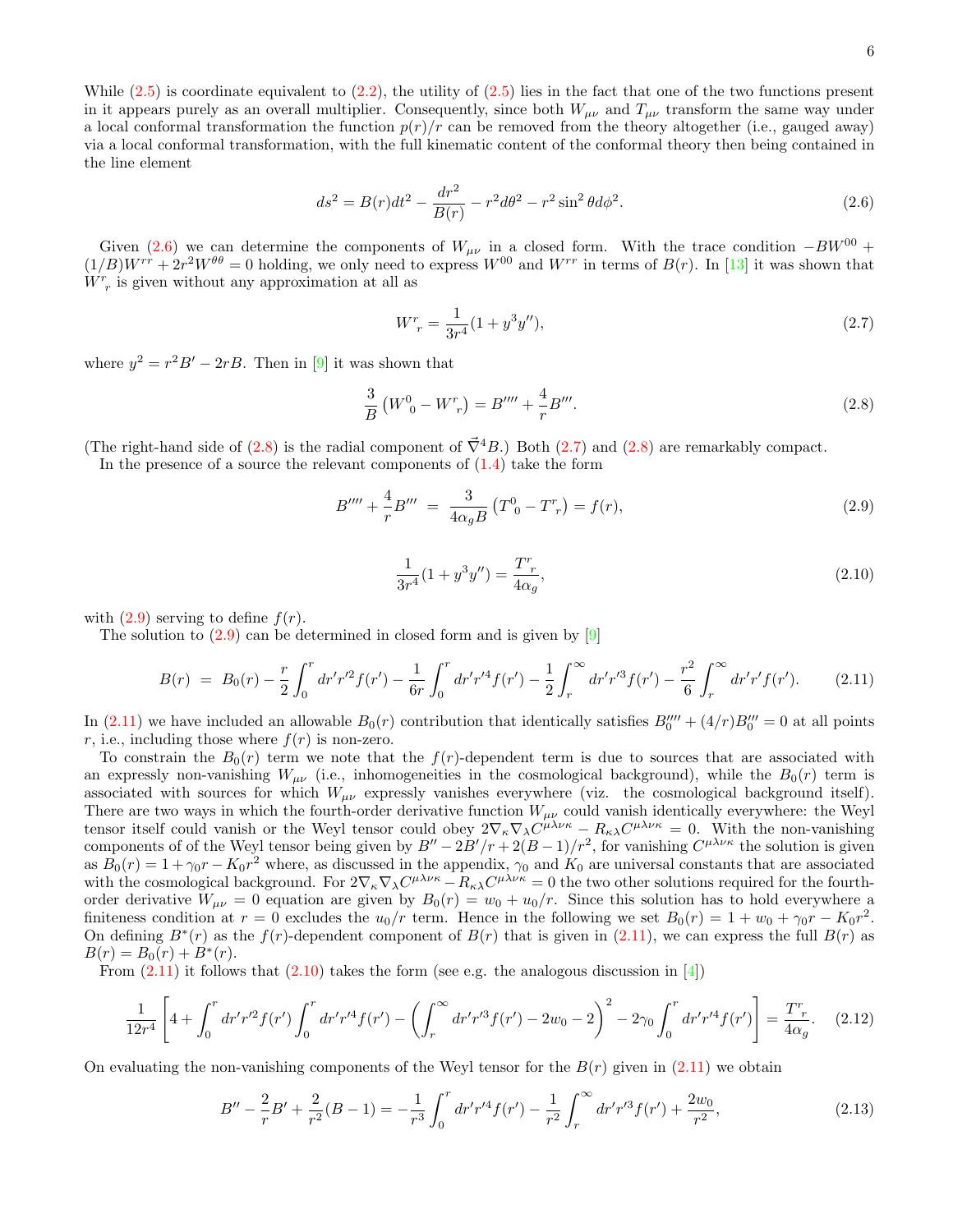<span id="page-5-0"></span>
$$
ds^{2} = B(r)dt^{2} - \frac{dr^{2}}{B(r)} - r^{2}d\theta^{2} - r^{2}\sin^{2}\theta d\phi^{2}.
$$
 (2.6)

Given [\(2.6\)](#page-5-0) we can determine the components of  $W_{\mu\nu}$  in a closed form. With the trace condition  $-BW^{00}$  +  $(1/B)W^{rr} + 2r^2W^{\theta\theta} = 0$  holding, we only need to express  $W^{00}$  and  $W^{rr}$  in terms of  $B(r)$ . In [\[13\]](#page-19-11) it was shown that  $\overline{W}^r$  is given without any approximation at all as

<span id="page-5-2"></span>
$$
W_r^r = \frac{1}{3r^4}(1+y^3y''),\tag{2.7}
$$

where  $y^2 = r^2 B' - 2rB$ . Then in [\[9\]](#page-19-7) it was shown that

<span id="page-5-1"></span>
$$
\frac{3}{B} \left( W^0{}_0 - W^r{}_r \right) = B'''' + \frac{4}{r} B'''.
$$
\n(2.8)

(The right-hand side of [\(2.8\)](#page-5-1) is the radial component of  $\vec{\nabla}^4 B$ .) Both [\(2.7\)](#page-5-2) and (2.8) are remarkably compact.

In the presence of a source the relevant components of  $(1.4)$  take the form

<span id="page-5-3"></span>
$$
B'''' + \frac{4}{r}B''' = \frac{3}{4\alpha_g B} (T^0{}_0 - T^r{}_r) = f(r), \tag{2.9}
$$

<span id="page-5-5"></span>
$$
\frac{1}{3r^4}(1+y^3y'') = \frac{T^r}{4\alpha_g},\tag{2.10}
$$

with  $(2.9)$  serving to define  $f(r)$ .

The solution to  $(2.9)$  can be determined in closed form and is given by  $[9]$ 

<span id="page-5-4"></span>
$$
B(r) = B_0(r) - \frac{r}{2} \int_0^r dr' r'^2 f(r') - \frac{1}{6r} \int_0^r dr' r'^4 f(r') - \frac{1}{2} \int_r^\infty dr' r'^3 f(r') - \frac{r^2}{6} \int_r^\infty dr' r' f(r'). \tag{2.11}
$$

In  $(2.11)$  we have included an allowable  $B_0(r)$  contribution that identically satisfies  $B_0'''' + (4/r)B_0''' = 0$  at all points r, i.e., including those where  $f(r)$  is non-zero.

To constrain the  $B_0(r)$  term we note that the  $f(r)$ -dependent term is due to sources that are associated with an expressly non-vanishing  $W_{\mu\nu}$  (i.e., inhomogeneities in the cosmological background), while the  $B_0(r)$  term is associated with sources for which  $W_{\mu\nu}$  expressly vanishes everywhere (viz. the cosmological background itself). There are two ways in which the fourth-order derivative function  $W_{\mu\nu}$  could vanish identically everywhere: the Weyl tensor itself could vanish or the Weyl tensor could obey  $2\nabla_{\kappa}\nabla_{\lambda}C^{\mu\lambda\nu\kappa} - R_{\kappa\lambda}C^{\mu\lambda\nu\kappa} = 0$ . With the non-vanishing components of of the Weyl tensor being given by  $B'' - 2B'/r + 2(B-1)/r^2$ , for vanishing  $C^{\mu\lambda\nu\kappa}$  the solution is given as  $B_0(r) = 1 + \gamma_0 r - K_0 r^2$  where, as discussed in the appendix,  $\gamma_0$  and  $K_0$  are universal constants that are associated with the cosmological background. For  $2\nabla_{\kappa}\nabla_{\lambda}C^{\mu\lambda\nu\kappa} - R_{\kappa\lambda}C^{\mu\lambda\nu\kappa} = 0$  the two other solutions required for the fourthorder derivative  $W_{\mu\nu} = 0$  equation are given by  $B_0(r) = w_0 + u_0/r$ . Since this solution has to hold everywhere a finiteness condition at  $r = 0$  excludes the  $u_0/r$  term. Hence in the following we set  $B_0(r) = 1 + w_0 + \gamma_0 r - K_0 r^2$ . On defining  $B^*(r)$  as the  $f(r)$ -dependent component of  $B(r)$  that is given in [\(2.11\)](#page-5-4), we can express the full  $B(r)$  as  $B(r) = B_0(r) + B^*(r).$ 

From  $(2.11)$  it follows that  $(2.10)$  takes the form (see e.g. the analogous discussion in [\[4\]](#page-19-3))

<span id="page-5-7"></span>
$$
\frac{1}{12r^4} \left[ 4 + \int_0^r dr' r'^2 f(r') \int_0^r dr' r'^4 f(r') - \left( \int_r^\infty dr' r'^3 f(r') - 2w_0 - 2 \right)^2 - 2\gamma_0 \int_0^r dr' r'^4 f(r') \right] = \frac{T^r}{4\alpha_g}.
$$
 (2.12)

On evaluating the non-vanishing components of the Weyl tensor for the  $B(r)$  given in  $(2.11)$  we obtain

<span id="page-5-6"></span>
$$
B'' - \frac{2}{r}B' + \frac{2}{r^2}(B - 1) = -\frac{1}{r^3} \int_0^r dr' r'^4 f(r') - \frac{1}{r^2} \int_r^\infty dr' r'^3 f(r') + \frac{2w_0}{r^2},\tag{2.13}
$$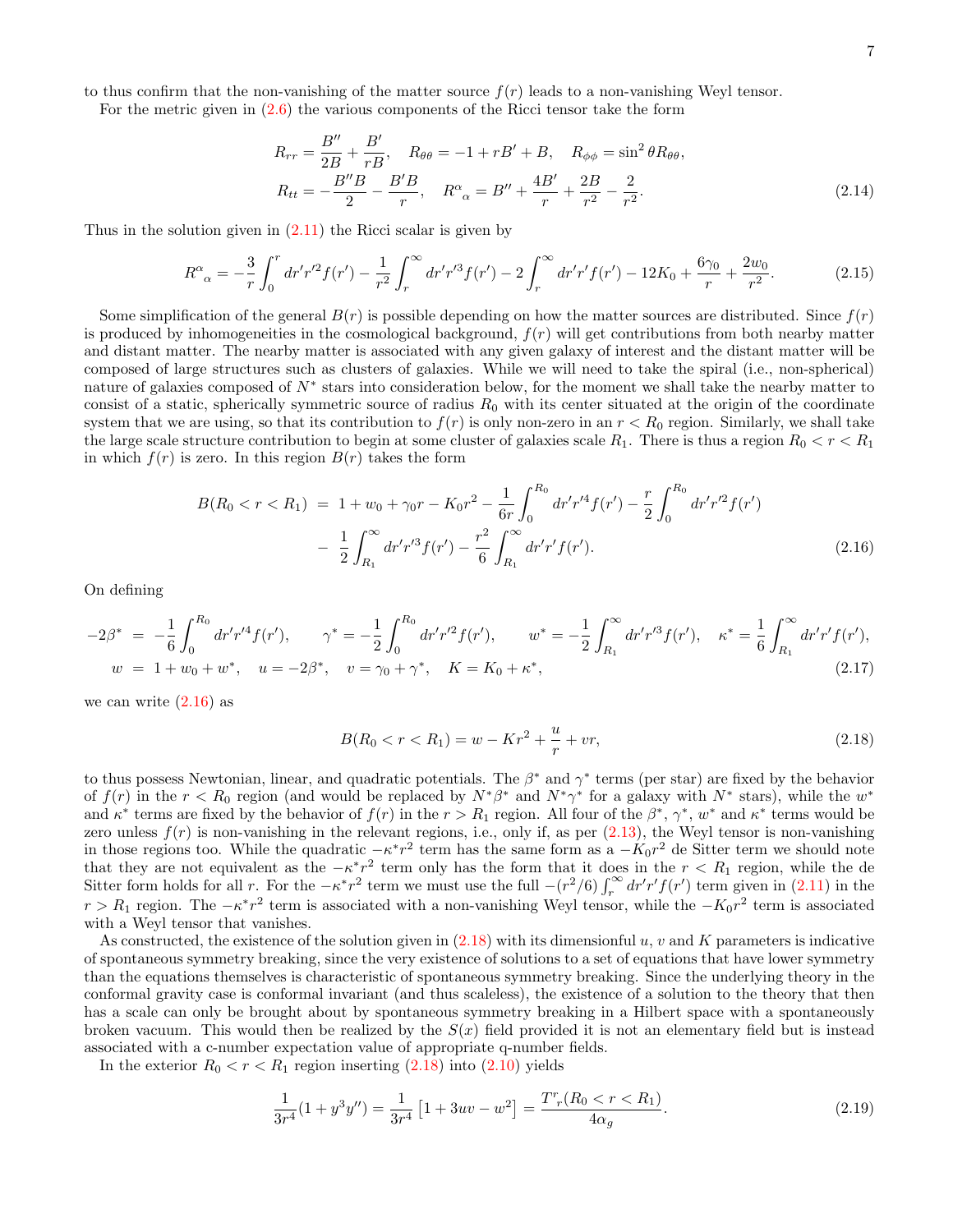to thus confirm that the non-vanishing of the matter source  $f(r)$  leads to a non-vanishing Weyl tensor.

For the metric given in [\(2.6\)](#page-5-0) the various components of the Ricci tensor take the form

<span id="page-6-4"></span>
$$
R_{rr} = \frac{B''}{2B} + \frac{B'}{rB}, \quad R_{\theta\theta} = -1 + rB' + B, \quad R_{\phi\phi} = \sin^2\theta R_{\theta\theta},
$$
  

$$
R_{tt} = -\frac{B''B}{2} - \frac{B'B}{r}, \quad R^{\alpha}{}_{\alpha} = B'' + \frac{4B'}{r} + \frac{2B}{r^2} - \frac{2}{r^2}.
$$
 (2.14)

Thus in the solution given in  $(2.11)$  the Ricci scalar is given by

$$
R^{\alpha}{}_{\alpha} = -\frac{3}{r} \int_0^r dr' r'^2 f(r') - \frac{1}{r^2} \int_r^{\infty} dr' r'^3 f(r') - 2 \int_r^{\infty} dr' r' f(r') - 12K_0 + \frac{6\gamma_0}{r} + \frac{2w_0}{r^2}.
$$
 (2.15)

Some simplification of the general  $B(r)$  is possible depending on how the matter sources are distributed. Since  $f(r)$ is produced by inhomogeneities in the cosmological background,  $f(r)$  will get contributions from both nearby matter and distant matter. The nearby matter is associated with any given galaxy of interest and the distant matter will be composed of large structures such as clusters of galaxies. While we will need to take the spiral (i.e., non-spherical) nature of galaxies composed of  $N^*$  stars into consideration below, for the moment we shall take the nearby matter to consist of a static, spherically symmetric source of radius  $R_0$  with its center situated at the origin of the coordinate system that we are using, so that its contribution to  $f(r)$  is only non-zero in an  $r < R_0$  region. Similarly, we shall take the large scale structure contribution to begin at some cluster of galaxies scale  $R_1$ . There is thus a region  $R_0 < r < R_1$ in which  $f(r)$  is zero. In this region  $B(r)$  takes the form

<span id="page-6-0"></span>
$$
B(R_0 < r < R_1) = 1 + w_0 + \gamma_0 r - K_0 r^2 - \frac{1}{6r} \int_0^{R_0} dr' r'^4 f(r') - \frac{r}{2} \int_0^{R_0} dr' r'^2 f(r')
$$

$$
- \frac{1}{2} \int_{R_1}^{\infty} dr' r'^3 f(r') - \frac{r^2}{6} \int_{R_1}^{\infty} dr' r' f(r'). \tag{2.16}
$$

On defining

<span id="page-6-3"></span>
$$
-2\beta^* = -\frac{1}{6} \int_0^{R_0} dr' r'^4 f(r'), \qquad \gamma^* = -\frac{1}{2} \int_0^{R_0} dr' r'^2 f(r'), \qquad w^* = -\frac{1}{2} \int_{R_1}^{\infty} dr' r'^3 f(r'), \qquad \kappa^* = \frac{1}{6} \int_{R_1}^{\infty} dr' r' f(r'),
$$
  
\n
$$
w = 1 + w_0 + w^*, \quad u = -2\beta^*, \quad v = \gamma_0 + \gamma^*, \quad K = K_0 + \kappa^*,
$$
\n(2.17)

we can write  $(2.16)$  as

<span id="page-6-1"></span>
$$
B(R_0 < r < R_1) = w - Kr^2 + \frac{u}{r} + vr,
$$
\n(2.18)

to thus possess Newtonian, linear, and quadratic potentials. The  $\beta^*$  and  $\gamma^*$  terms (per star) are fixed by the behavior of  $f(r)$  in the  $r < R_0$  region (and would be replaced by  $N^*\beta^*$  and  $N^*\gamma^*$  for a galaxy with  $N^*$  stars), while the  $w^*$ and  $\kappa^*$  terms are fixed by the behavior of  $f(r)$  in the  $r > R_1$  region. All four of the  $\beta^*, \gamma^*, w^*$  and  $\kappa^*$  terms would be zero unless  $f(r)$  is non-vanishing in the relevant regions, i.e., only if, as per  $(2.13)$ , the Weyl tensor is non-vanishing in those regions too. While the quadratic  $-\kappa^* r^2$  term has the same form as a  $-K_0 r^2$  de Sitter term we should note that they are not equivalent as the  $-\kappa^* r^2$  term only has the form that it does in the  $r < R_1$  region, while the de Sitter form holds for all r. For the  $-\kappa^* r^2$  term we must use the full  $-(r^2/6)\int_r^{\infty} dr' r' f(r')$  term given in [\(2.11\)](#page-5-4) in the  $r > R_1$  region. The  $-\kappa^* r^2$  term is associated with a non-vanishing Weyl tensor, while the  $-K_0 r^2$  term is associated with a Weyl tensor that vanishes.

As constructed, the existence of the solution given in  $(2.18)$  with its dimensionful u, v and K parameters is indicative of spontaneous symmetry breaking, since the very existence of solutions to a set of equations that have lower symmetry than the equations themselves is characteristic of spontaneous symmetry breaking. Since the underlying theory in the conformal gravity case is conformal invariant (and thus scaleless), the existence of a solution to the theory that then has a scale can only be brought about by spontaneous symmetry breaking in a Hilbert space with a spontaneously broken vacuum. This would then be realized by the  $S(x)$  field provided it is not an elementary field but is instead associated with a c-number expectation value of appropriate q-number fields.

In the exterior  $R_0 < r < R_1$  region inserting  $(2.18)$  into  $(2.10)$  yields

<span id="page-6-2"></span>
$$
\frac{1}{3r^4}(1+y^3y'') = \frac{1}{3r^4}\left[1+3uv-w^2\right] = \frac{T^r(R_0 < r < R_1)}{4\alpha_g}.
$$
\n(2.19)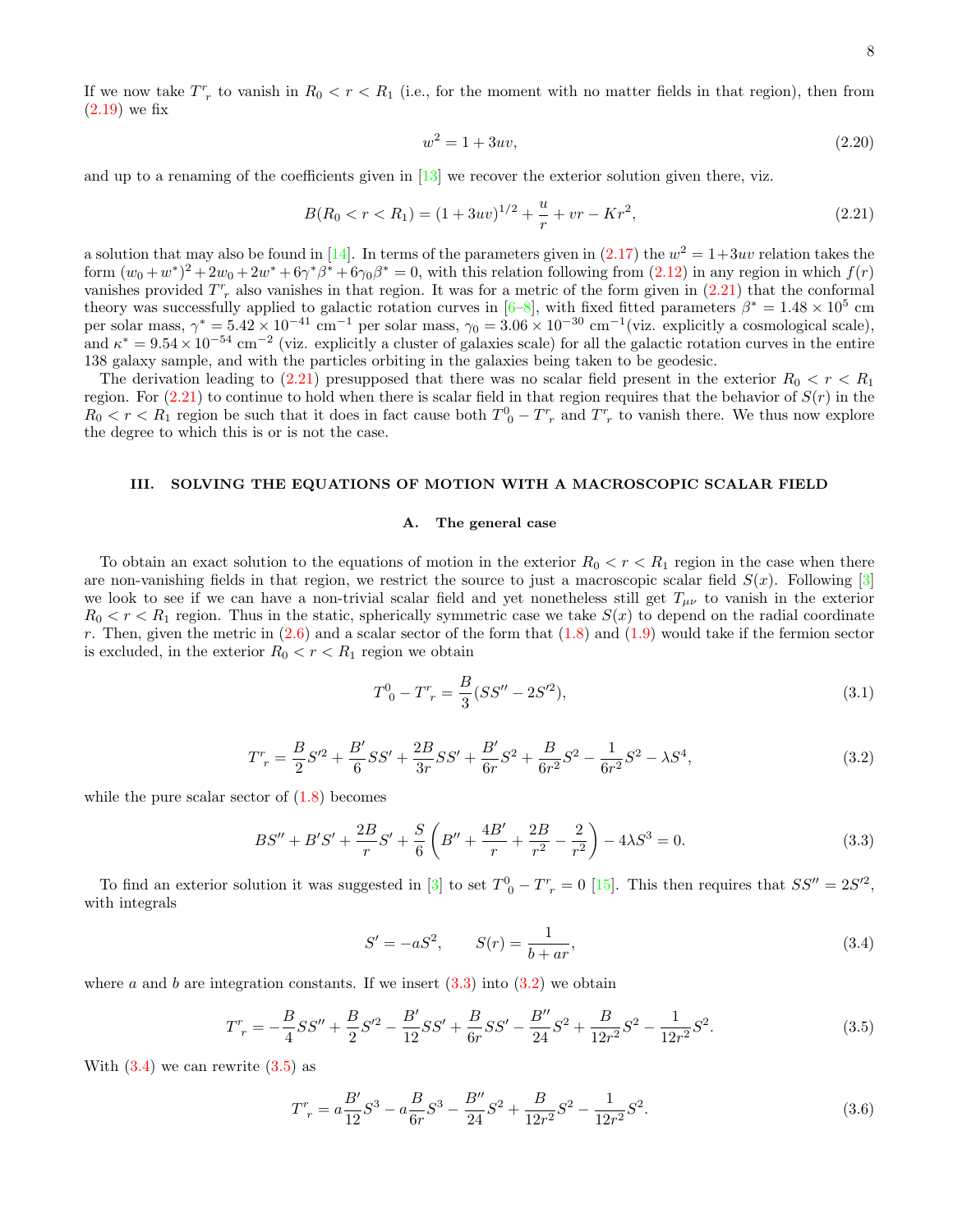If we now take  $T_r^r$  to vanish in  $R_0 < r < R_1$  (i.e., for the moment with no matter fields in that region), then from  $(2.19)$  we fix

$$
w^2 = 1 + 3uv,\tag{2.20}
$$

and up to a renaming of the coefficients given in  $\left[13\right]$  we recover the exterior solution given there, viz.

<span id="page-7-1"></span>
$$
B(R_0 < r < R_1) = (1 + 3uv)^{1/2} + \frac{u}{r} + vr - Kr^2,
$$
\n(2.21)

a solution that may also be found in [\[14\]](#page-19-12). In terms of the parameters given in  $(2.17)$  the  $w^2 = 1+3uv$  relation takes the form  $(w_0 + w^*)^2 + 2w_0 + 2w^* + 6\gamma^*\beta^* + 6\gamma_0\beta^* = 0$ , with this relation following from  $(2.12)$  in any region in which  $f(r)$ vanishes provided  $T_{r}^{r}$  also vanishes in that region. It was for a metric of the form given in  $(2.21)$  that the conformal theory was successfully applied to galactic rotation curves in  $[6-8]$ , with fixed fitted parameters  $\beta^* = 1.48 \times 10^5$  cm per solar mass,  $\gamma^* = 5.42 \times 10^{-41}$  cm<sup>-1</sup> per solar mass,  $\gamma_0 = 3.06 \times 10^{-30}$  cm<sup>-1</sup> (viz. explicitly a cosmological scale), and  $\kappa^* = 9.54 \times 10^{-54}$  cm<sup>-2</sup> (viz. explicitly a cluster of galaxies scale) for all the galactic rotation curves in the entire 138 galaxy sample, and with the particles orbiting in the galaxies being taken to be geodesic.

The derivation leading to [\(2.21\)](#page-7-1) presupposed that there was no scalar field present in the exterior  $R_0 < r < R_1$ region. For  $(2.21)$  to continue to hold when there is scalar field in that region requires that the behavior of  $S(r)$  in the  $R_0 < r < R_1$  region be such that it does in fact cause both  $T_{0}^0 - T_{r}^r$  and  $T_{r}^r$  to vanish there. We thus now explore the degree to which this is or is not the case.

#### <span id="page-7-0"></span>III. SOLVING THE EQUATIONS OF MOTION WITH A MACROSCOPIC SCALAR FIELD

## A. The general case

To obtain an exact solution to the equations of motion in the exterior  $R_0 < r < R_1$  region in the case when there are non-vanishing fields in that region, we restrict the source to just a macroscopic scalar field  $S(x)$ . Following [\[3\]](#page-19-2) we look to see if we can have a non-trivial scalar field and yet nonetheless still get  $T_{\mu\nu}$  to vanish in the exterior  $R_0 < r < R_1$  region. Thus in the static, spherically symmetric case we take  $S(x)$  to depend on the radial coordinate r. Then, given the metric in  $(2.6)$  and a scalar sector of the form that  $(1.8)$  and  $(1.9)$  would take if the fermion sector is excluded, in the exterior  $R_0 < r < R_1$  region we obtain

$$
T^0_{\ 0} - T^r_{\ r} = \frac{B}{3}(SS'' - 2S'^2),\tag{3.1}
$$

<span id="page-7-3"></span>
$$
T_r^r = \frac{B}{2}S'^2 + \frac{B'}{6}SS' + \frac{2B}{3r}SS' + \frac{B'}{6r}S^2 + \frac{B}{6r^2}S^2 - \frac{1}{6r^2}S^2 - \lambda S^4,\tag{3.2}
$$

while the pure scalar sector of  $(1.8)$  becomes

<span id="page-7-2"></span>
$$
BS'' + B'S' + \frac{2B}{r}S' + \frac{S}{6}\left(B'' + \frac{4B'}{r} + \frac{2B}{r^2} - \frac{2}{r^2}\right) - 4\lambda S^3 = 0.
$$
\n(3.3)

To find an exterior solution it was suggested in [\[3\]](#page-19-2) to set  $T^0{}_0 - T^r{}_r = 0$  [\[15\]](#page-19-13). This then requires that  $SS'' = 2S'^2$ , with integrals

<span id="page-7-4"></span>
$$
S' = -aS^2, \t S(r) = \frac{1}{b+ar}, \t (3.4)
$$

where a and b are integration constants. If we insert  $(3.3)$  into  $(3.2)$  we obtain

<span id="page-7-5"></span>
$$
T^r_{\ r} = -\frac{B}{4}SS'' + \frac{B}{2}S'^2 - \frac{B'}{12}SS' + \frac{B}{6r}SS' - \frac{B''}{24}S^2 + \frac{B}{12r^2}S^2 - \frac{1}{12r^2}S^2.
$$
 (3.5)

With  $(3.4)$  we can rewrite  $(3.5)$  as

<span id="page-7-6"></span>
$$
T_r^r = a\frac{B'}{12}S^3 - a\frac{B}{6r}S^3 - \frac{B''}{24}S^2 + \frac{B}{12r^2}S^2 - \frac{1}{12r^2}S^2.
$$
 (3.6)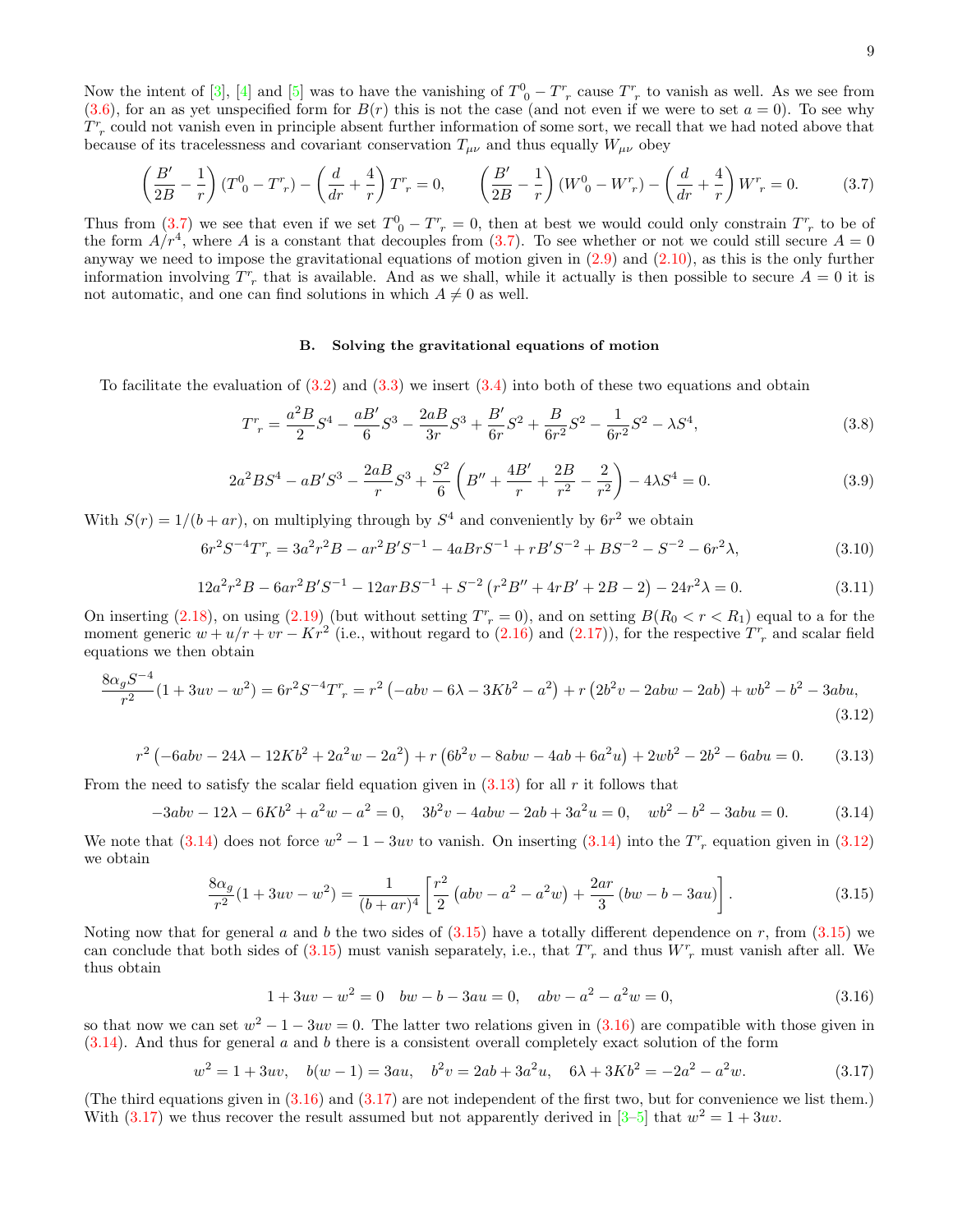Now the intent of [\[3\]](#page-19-2), [\[4\]](#page-19-3) and [\[5\]](#page-19-4) was to have the vanishing of  $T^0_{\ 0} - T^r_{\ r}$  cause  $T^r_{\ r}$  to vanish as well. As we see from  $(3.6)$ , for an as yet unspecified form for  $B(r)$  this is not the case (and not even if we were to set  $a = 0$ ). To see why  $T^r$  could not vanish even in principle absent further information of some sort, we recall that we had noted above that because of its tracelessness and covariant conservation  $T_{\mu\nu}$  and thus equally  $W_{\mu\nu}$  obey

<span id="page-8-0"></span>
$$
\left(\frac{B'}{2B} - \frac{1}{r}\right)(T^0{}_0 - T^r{}_r) - \left(\frac{d}{dr} + \frac{4}{r}\right)T^r{}_r = 0, \qquad \left(\frac{B'}{2B} - \frac{1}{r}\right)(W^0{}_0 - W^r{}_r) - \left(\frac{d}{dr} + \frac{4}{r}\right)W^r{}_r = 0. \tag{3.7}
$$

Thus from [\(3.7\)](#page-8-0) we see that even if we set  $T_0^0 - T_r^r = 0$ , then at best we would could only constrain  $T_r^r$  to be of the form  $A/r^4$ , where A is a constant that decouples from  $(3.7)$ . To see whether or not we could still secure  $A = 0$ anyway we need to impose the gravitational equations of motion given in  $(2.9)$  and  $(2.10)$ , as this is the only further information involving  $T_r^r$  that is available. And as we shall, while it actually is then possible to secure  $A = 0$  it is not automatic, and one can find solutions in which  $A \neq 0$  as well.

## B. Solving the gravitational equations of motion

To facilitate the evaluation of  $(3.2)$  and  $(3.3)$  we insert  $(3.4)$  into both of these two equations and obtain

$$
T_r^r = \frac{a^2 B}{2} S^4 - \frac{a B'}{6} S^3 - \frac{2a B}{3r} S^3 + \frac{B'}{6r} S^2 + \frac{B}{6r^2} S^2 - \frac{1}{6r^2} S^2 - \lambda S^4,
$$
\n(3.8)

$$
2a^2BS^4 - aB'S^3 - \frac{2a}{r}S^3 + \frac{S^2}{6}\left(B'' + \frac{4B'}{r} + \frac{2B}{r^2} - \frac{2}{r^2}\right) - 4\lambda S^4 = 0.
$$
 (3.9)

With  $S(r) = 1/(b + ar)$ , on multiplying through by  $S<sup>4</sup>$  and conveniently by  $6r<sup>2</sup>$  we obtain

$$
6r^2S^{-4}T^r = 3a^2r^2B - ar^2B'S^{-1} - 4aBrS^{-1} + rB'S^{-2} + BS^{-2} - S^{-2} - 6r^2\lambda,
$$
\n(3.10)

$$
12a^{2}r^{2}B - 6ar^{2}B'S^{-1} - 12arBS^{-1} + S^{-2}(r^{2}B'' + 4rB' + 2B - 2) - 24r^{2}\lambda = 0.
$$
\n(3.11)

On inserting  $(2.18)$ , on using  $(2.19)$  (but without setting  $T_r^r = 0$ ), and on setting  $B(R_0 < r < R_1)$  equal to a for the moment generic  $w + u/r + vr - Kr^2$  (i.e., without regard to [\(2.16\)](#page-6-0) and [\(2.17\)](#page-6-3)), for the respective  $T^r$  and scalar field equations we then obtain

$$
\frac{8\alpha_g S^{-4}}{r^2} (1 + 3uv - w^2) = 6r^2 S^{-4} T^r = r^2 \left( -abv - 6\lambda - 3Kb^2 - a^2 \right) + r \left( 2b^2 v - 2abw - 2ab \right) + wb^2 - b^2 - 3abu,
$$
\n(3.12)

<span id="page-8-1"></span>
$$
r^{2} \left(-6abv - 24\lambda - 12Kb^{2} + 2a^{2}w - 2a^{2}\right) + r \left(6b^{2}v - 8abw - 4ab + 6a^{2}u\right) + 2wb^{2} - 2b^{2} - 6abu = 0.
$$
 (3.13)

From the need to satisfy the scalar field equation given in  $(3.13)$  for all r it follows that

<span id="page-8-2"></span>
$$
-3abv - 12\lambda - 6Kb^2 + a^2w - a^2 = 0, \quad 3b^2v - 4abw - 2ab + 3a^2u = 0, \quad wb^2 - b^2 - 3abu = 0. \tag{3.14}
$$

We note that  $(3.14)$  does not force  $w^2 - 1 - 3uv$  to vanish. On inserting  $(3.14)$  into the  $T_r^r$  equation given in  $(3.12)$ we obtain

<span id="page-8-4"></span>
$$
\frac{8\alpha_g}{r^2}(1+3uv-w^2) = \frac{1}{(b+ar)^4} \left[ \frac{r^2}{2} \left( abv - a^2 - a^2w \right) + \frac{2ar}{3} \left( bw - b - 3au \right) \right]. \tag{3.15}
$$

Noting now that for general a and b the two sides of  $(3.15)$  have a totally different dependence on r, from  $(3.15)$  we can conclude that both sides of  $(3.15)$  must vanish separately, i.e., that  $T_r^r$  and thus  $W_r^r$  must vanish after all. We thus obtain

<span id="page-8-5"></span><span id="page-8-3"></span>
$$
1 + 3uv - w2 = 0 \quad bw - b - 3au = 0, \quad abv - a2 - a2w = 0,
$$
\n(3.16)

so that now we can set  $w^2 - 1 - 3uv = 0$ . The latter two relations given in [\(3.16\)](#page-8-5) are compatible with those given in  $(3.14)$ . And thus for general a and b there is a consistent overall completely exact solution of the form

<span id="page-8-6"></span>
$$
w^{2} = 1 + 3uv, \quad b(w - 1) = 3au, \quad b^{2}v = 2ab + 3a^{2}u, \quad 6\lambda + 3Kb^{2} = -2a^{2} - a^{2}w.
$$
\n(3.17)

(The third equations given in  $(3.16)$  and  $(3.17)$  are not independent of the first two, but for convenience we list them.) With  $(3.17)$  we thus recover the result assumed but not apparently derived in [3-[5\]](#page-19-4) that  $w^2 = 1 + 3uv$ .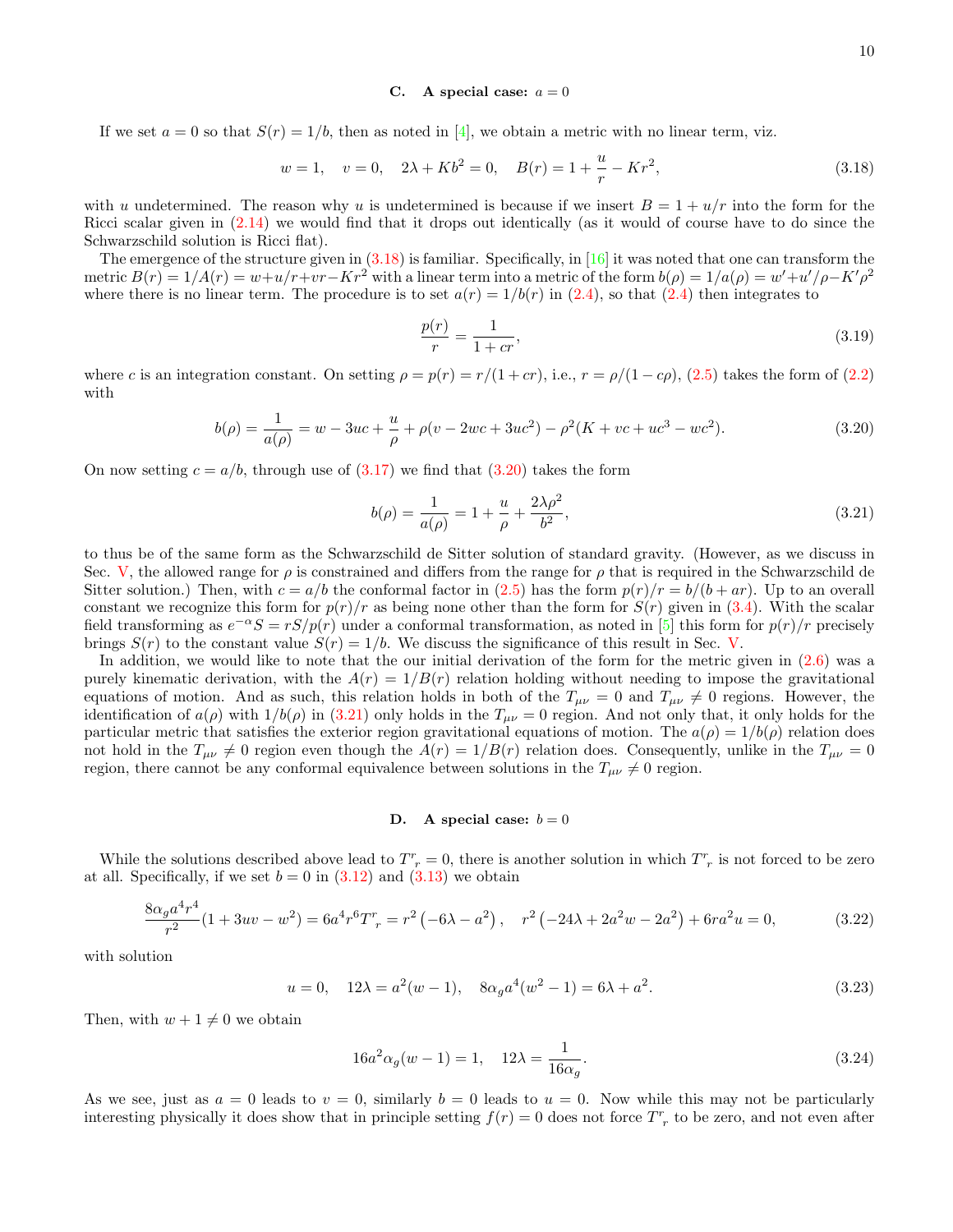#### <span id="page-9-3"></span>C. A special case:  $a = 0$

If we set  $a = 0$  so that  $S(r) = 1/b$ , then as noted in [\[4\]](#page-19-3), we obtain a metric with no linear term, viz.

<span id="page-9-0"></span>
$$
w = 1, \quad v = 0, \quad 2\lambda + Kb^2 = 0, \quad B(r) = 1 + \frac{u}{r} - Kr^2,
$$
\n(3.18)

with u undetermined. The reason why u is undetermined is because if we insert  $B = 1 + u/r$  into the form for the Ricci scalar given in [\(2.14\)](#page-6-4) we would find that it drops out identically (as it would of course have to do since the Schwarzschild solution is Ricci flat).

The emergence of the structure given in  $(3.18)$  is familiar. Specifically, in [\[16\]](#page-19-14) it was noted that one can transform the metric  $B(r) = 1/A(r) = w + u/r + vr - Kr^2$  with a linear term into a metric of the form  $b(\rho) = 1/a(\rho) = w' + u'/\rho - K'\rho^2$ where there is no linear term. The procedure is to set  $a(r) = 1/b(r)$  in [\(2.4\)](#page-4-5), so that (2.4) then integrates to

$$
\frac{p(r)}{r} = \frac{1}{1+cr},\tag{3.19}
$$

where c is an integration constant. On setting  $\rho = p(r) = r/(1 + cr)$ , i.e.,  $r = \rho/(1 - c\rho)$ , [\(2.5\)](#page-4-1) takes the form of [\(2.2\)](#page-4-2) with

<span id="page-9-1"></span>
$$
b(\rho) = \frac{1}{a(\rho)} = w - 3uc + \frac{u}{\rho} + \rho(v - 2wc + 3uc^2) - \rho^2(K + vc + uc^3 - wc^2). \tag{3.20}
$$

On now setting  $c = a/b$ , through use of  $(3.17)$  we find that  $(3.20)$  takes the form

<span id="page-9-2"></span>
$$
b(\rho) = \frac{1}{a(\rho)} = 1 + \frac{u}{\rho} + \frac{2\lambda\rho^2}{b^2},
$$
\n(3.21)

to thus be of the same form as the Schwarzschild de Sitter solution of standard gravity. (However, as we discuss in Sec. [V,](#page-13-0) the allowed range for  $\rho$  is constrained and differs from the range for  $\rho$  that is required in the Schwarzschild de Sitter solution.) Then, with  $c = a/b$  the conformal factor in [\(2.5\)](#page-4-1) has the form  $p(r)/r = b/(b + ar)$ . Up to an overall constant we recognize this form for  $p(r)/r$  as being none other than the form for  $S(r)$  given in [\(3.4\)](#page-7-4). With the scalar field transforming as  $e^{-\alpha}S = rS/p(r)$  under a conformal transformation, as noted in [\[5\]](#page-19-4) this form for  $p(r)/r$  precisely brings  $S(r)$  to the constant value  $S(r) = 1/b$ . We discuss the significance of this result in Sec. [V.](#page-13-0)

In addition, we would like to note that the our initial derivation of the form for the metric given in [\(2.6\)](#page-5-0) was a purely kinematic derivation, with the  $A(r) = 1/B(r)$  relation holding without needing to impose the gravitational equations of motion. And as such, this relation holds in both of the  $T_{\mu\nu} = 0$  and  $T_{\mu\nu} \neq 0$  regions. However, the identification of  $a(\rho)$  with  $1/b(\rho)$  in [\(3.21\)](#page-9-2) only holds in the  $T_{\mu\nu} = 0$  region. And not only that, it only holds for the particular metric that satisfies the exterior region gravitational equations of motion. The  $a(\rho) = 1/b(\rho)$  relation does not hold in the  $T_{\mu\nu}\neq 0$  region even though the  $A(r) = 1/B(r)$  relation does. Consequently, unlike in the  $T_{\mu\nu} = 0$ region, there cannot be any conformal equivalence between solutions in the  $T_{\mu\nu} \neq 0$  region.

# D. A special case:  $b = 0$

While the solutions described above lead to  $T_r^r = 0$ , there is another solution in which  $T_r^r$  is not forced to be zero at all. Specifically, if we set  $b = 0$  in  $(3.12)$  and  $(3.13)$  we obtain

$$
\frac{8\alpha_g a^4 r^4}{r^2} (1 + 3uv - w^2) = 6a^4 r^6 T^r = r^2 \left(-6\lambda - a^2\right), \quad r^2 \left(-24\lambda + 2a^2 w - 2a^2\right) + 6ra^2 u = 0,\tag{3.22}
$$

with solution

$$
u = 0, \quad 12\lambda = a^2(w - 1), \quad 8\alpha_g a^4(w^2 - 1) = 6\lambda + a^2. \tag{3.23}
$$

Then, with  $w + 1 \neq 0$  we obtain

$$
16a^2\alpha_g(w-1) = 1, \quad 12\lambda = \frac{1}{16\alpha_g}.\tag{3.24}
$$

As we see, just as  $a = 0$  leads to  $v = 0$ , similarly  $b = 0$  leads to  $u = 0$ . Now while this may not be particularly interesting physically it does show that in principle setting  $f(r) = 0$  does not force  $T_r^r$  to be zero, and not even after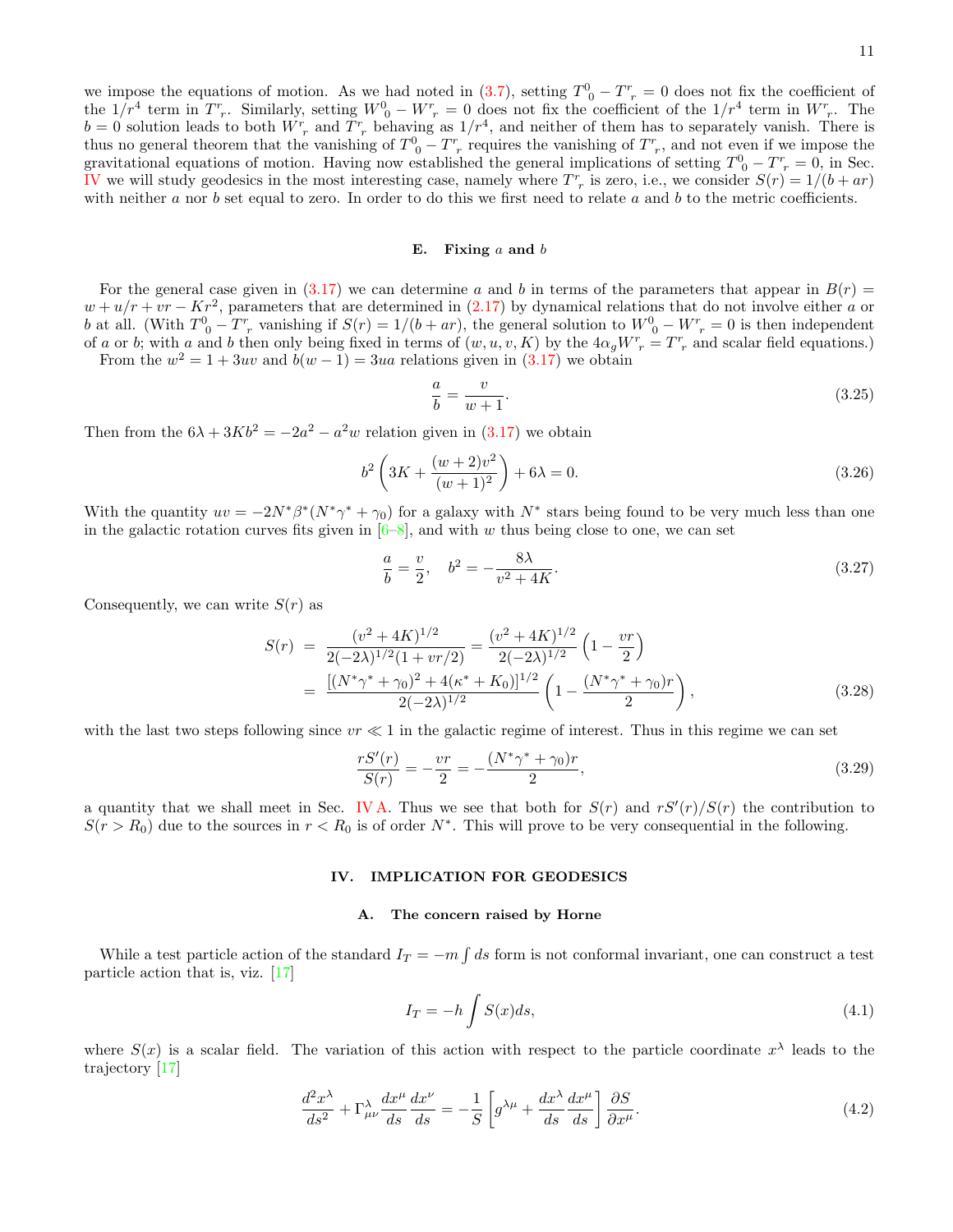we impose the equations of motion. As we had noted in [\(3.7\)](#page-8-0), setting  $T^0{}_0 - T^r{}_r = 0$  does not fix the coefficient of the  $1/r^4$  term in  $T^r$ . Similarly, setting  $W^0{}_0 - W^r{}_r = 0$  does not fix the coefficient of the  $1/r^4$  term in  $W^r{}_r$ . The  $b = 0$  solution leads to both  $W_{r}^{r}$  and  $T_{r}^{r}$  behaving as  $1/r^{4}$ , and neither of them has to separately vanish. There is thus no general theorem that the vanishing of  $T^0{}_0 - T^r{}_r$  requires the vanishing of  $T^r{}_r$ , and not even if we impose the gravitational equations of motion. Having now established the general implications of setting  $T^0 - T^r = 0$ , in Sec. [IV](#page-10-0) we will study geodesics in the most interesting case, namely where  $T_{r}^{r}$  is zero, i.e., we consider  $S(r) = 1/(b + ar)$ with neither  $a$  nor  $b$  set equal to zero. In order to do this we first need to relate  $a$  and  $b$  to the metric coefficients.

## E. Fixing  $a$  and  $b$

For the general case given in [\(3.17\)](#page-8-6) we can determine a and b in terms of the parameters that appear in  $B(r)$  =  $w + u/r + vr - Kr^2$ , parameters that are determined in [\(2.17\)](#page-6-3) by dynamical relations that do not involve either a or b at all. (With  $T^0{}_0 - T^r{}_r$  vanishing if  $S(r) = 1/(b + ar)$ , the general solution to  $W^0{}_0 - W^r{}_r = 0$  is then independent of a or b; with a and b then only being fixed in terms of  $(w, u, v, K)$  by the  $4\alpha_g W^r = T^r$  and scalar field equations.)

From the  $w^2 = 1 + 3uv$  and  $b(w - 1) = 3ua$  relations given in  $(3.17)$  we obtain

$$
\frac{a}{b} = \frac{v}{w+1}.\tag{3.25}
$$

Then from the  $6\lambda + 3Kb^2 = -2a^2 - a^2w$  relation given in  $(3.17)$  we obtain

$$
b^{2} \left( 3K + \frac{(w+2)v^{2}}{(w+1)^{2}} \right) + 6\lambda = 0.
$$
 (3.26)

With the quantity  $uv = -2N^*\beta^*(N^*\gamma^* + \gamma_0)$  for a galaxy with  $N^*$  stars being found to be very much less than one in the galactic rotation curves fits given in  $[6-8]$  $[6-8]$ , and with w thus being close to one, we can set

<span id="page-10-3"></span>
$$
\frac{a}{b} = \frac{v}{2}, \quad b^2 = -\frac{8\lambda}{v^2 + 4K}.\tag{3.27}
$$

Consequently, we can write  $S(r)$  as

$$
S(r) = \frac{(v^2 + 4K)^{1/2}}{2(-2\lambda)^{1/2}(1 + v r/2)} = \frac{(v^2 + 4K)^{1/2}}{2(-2\lambda)^{1/2}} \left(1 - \frac{vr}{2}\right)
$$
  
= 
$$
\frac{[(N^*\gamma^* + \gamma_0)^2 + 4(\kappa^* + K_0)]^{1/2}}{2(-2\lambda)^{1/2}} \left(1 - \frac{(N^*\gamma^* + \gamma_0)r}{2}\right),
$$
(3.28)

with the last two steps following since  $vr \ll 1$  in the galactic regime of interest. Thus in this regime we can set

$$
\frac{rS'(r)}{S(r)} = -\frac{vr}{2} = -\frac{(N^*\gamma^* + \gamma_0)r}{2},\tag{3.29}
$$

a quantity that we shall meet in Sec. IVA. Thus we see that both for  $S(r)$  and  $rS'(r)/S(r)$  the contribution to  $S(r > R_0)$  due to the sources in  $r < R_0$  is of order N<sup>\*</sup>. This will prove to be very consequential in the following.

## <span id="page-10-0"></span>IV. IMPLICATION FOR GEODESICS

# <span id="page-10-1"></span>A. The concern raised by Horne

While a test particle action of the standard  $I_T = -m \int ds$  form is not conformal invariant, one can construct a test particle action that is, viz. [\[17\]](#page-19-15)

<span id="page-10-4"></span>
$$
I_T = -h \int S(x)ds,\tag{4.1}
$$

where  $S(x)$  is a scalar field. The variation of this action with respect to the particle coordinate  $x^{\lambda}$  leads to the trajectory [\[17\]](#page-19-15)

<span id="page-10-2"></span>
$$
\frac{d^2x^{\lambda}}{ds^2} + \Gamma^{\lambda}_{\mu\nu}\frac{dx^{\mu}}{ds}\frac{dx^{\nu}}{ds} = -\frac{1}{S}\left[g^{\lambda\mu} + \frac{dx^{\lambda}}{ds}\frac{dx^{\mu}}{ds}\right]\frac{\partial S}{\partial x^{\mu}}.
$$
\n(4.2)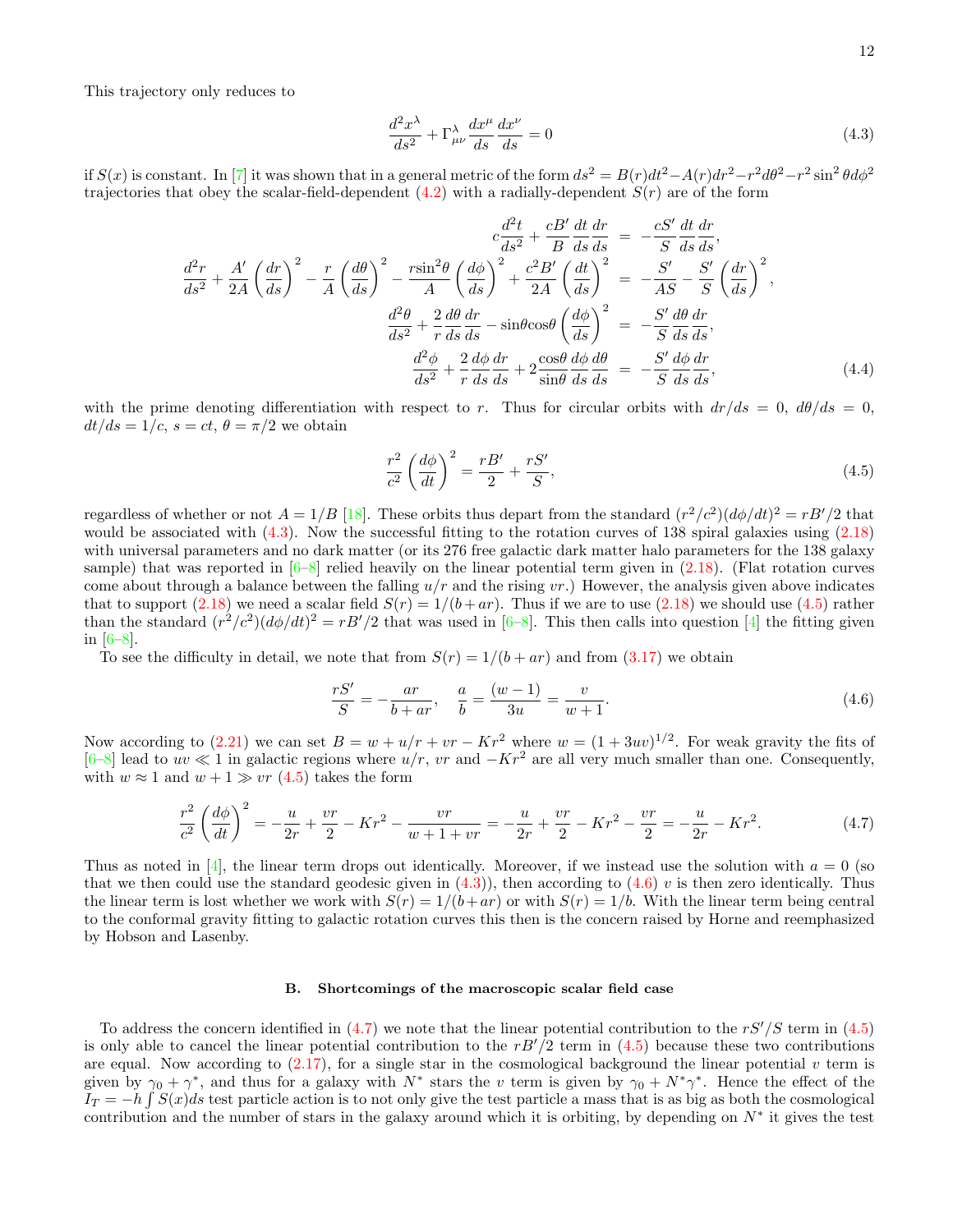This trajectory only reduces to

<span id="page-11-0"></span>
$$
\frac{d^2x^{\lambda}}{ds^2} + \Gamma^{\lambda}_{\mu\nu}\frac{dx^{\mu}}{ds}\frac{dx^{\nu}}{ds} = 0
$$
\n(4.3)

if  $S(x)$  is constant. In [\[7\]](#page-19-16) it was shown that in a general metric of the form  $ds^2 = B(r)dt^2 - A(r)dr^2 - r^2d\theta^2 - r^2\sin^2\theta d\phi^2$ trajectories that obey the scalar-field-dependent  $(4.2)$  with a radially-dependent  $S(r)$  are of the form

$$
c\frac{d^2t}{ds^2} + \frac{cB'}{B}\frac{dt}{ds}\frac{dr}{ds} = -\frac{cS'}{S}\frac{dt}{ds}\frac{dr}{ds},
$$
  

$$
\frac{d^2r}{ds^2} + \frac{A'}{2A}\left(\frac{dr}{ds}\right)^2 - \frac{r}{A}\left(\frac{d\theta}{ds}\right)^2 - \frac{r\sin^2\theta}{A}\left(\frac{d\phi}{ds}\right)^2 + \frac{c^2B'}{2A}\left(\frac{dt}{ds}\right)^2 = -\frac{S'}{AS} - \frac{S'}{S}\left(\frac{dr}{ds}\right)^2,
$$
  

$$
\frac{d^2\theta}{ds^2} + \frac{2}{r}\frac{d\theta}{ds}\frac{dr}{ds} - \sin\theta\cos\theta\left(\frac{d\phi}{ds}\right)^2 = -\frac{S'}{S}\frac{d\theta}{ds}\frac{dr}{ds},
$$
  

$$
\frac{d^2\phi}{ds^2} + \frac{2}{r}\frac{d\phi}{ds}\frac{dr}{ds} + 2\frac{\cos\theta}{\sin\theta}\frac{d\phi}{ds}\frac{d\theta}{ds} = -\frac{S'}{S}\frac{d\phi}{ds}\frac{dr}{ds},
$$
(4.4)

with the prime denoting differentiation with respect to r. Thus for circular orbits with  $dr/ds = 0$ ,  $d\theta/ds = 0$ ,  $dt/ds = 1/c$ ,  $s = ct$ ,  $\theta = \pi/2$  we obtain

<span id="page-11-1"></span>
$$
\frac{r^2}{c^2} \left(\frac{d\phi}{dt}\right)^2 = \frac{rB'}{2} + \frac{rS'}{S},\tag{4.5}
$$

regardless of whether or not  $A = 1/B$  [\[18\]](#page-19-17). These orbits thus depart from the standard  $(r^2/c^2)(d\phi/dt)^2 = rB'/2$  that would be associated with  $(4.3)$ . Now the successful fitting to the rotation curves of 138 spiral galaxies using  $(2.18)$ with universal parameters and no dark matter (or its 276 free galactic dark matter halo parameters for the 138 galaxy sample) that was reported in  $[6–8]$  $[6–8]$  relied heavily on the linear potential term given in  $(2.18)$ . (Flat rotation curves come about through a balance between the falling  $u/r$  and the rising vr.) However, the analysis given above indicates that to support [\(2.18\)](#page-6-1) we need a scalar field  $S(r) = 1/(b+ar)$ . Thus if we are to use (2.18) we should use [\(4.5\)](#page-11-1) rather than the standard  $(r^2/c^2)(d\phi/dt)^2 = rB'/2$  that was used in [\[6–](#page-19-5)[8\]](#page-19-6). This then calls into question [\[4\]](#page-19-3) the fitting given in [\[6](#page-19-5)[–8\]](#page-19-6).

To see the difficulty in detail, we note that from  $S(r) = 1/(b + ar)$  and from [\(3.17\)](#page-8-6) we obtain

<span id="page-11-2"></span>
$$
\frac{rS'}{S} = -\frac{ar}{b+ar}, \quad \frac{a}{b} = \frac{(w-1)}{3u} = \frac{v}{w+1}.
$$
\n(4.6)

Now according to [\(2.21\)](#page-7-1) we can set  $B = w + u/r + vr - Kr^2$  where  $w = (1 + 3uv)^{1/2}$ . For weak gravity the fits of  $[6–8]$  $[6–8]$  lead to  $uv \ll 1$  in galactic regions where  $u/r$ , vr and  $-Kr^2$  are all very much smaller than one. Consequently, with  $w \approx 1$  and  $w + 1 \gg vr$  [\(4.5\)](#page-11-1) takes the form

<span id="page-11-3"></span>
$$
\frac{r^2}{c^2} \left(\frac{d\phi}{dt}\right)^2 = -\frac{u}{2r} + \frac{vr}{2} - Kr^2 - \frac{vr}{w+1+vr} = -\frac{u}{2r} + \frac{vr}{2} - Kr^2 - \frac{vr}{2} = -\frac{u}{2r} - Kr^2.
$$
\n(4.7)

Thus as noted in [\[4\]](#page-19-3), the linear term drops out identically. Moreover, if we instead use the solution with  $a = 0$  (so that we then could use the standard geodesic given in  $(4.3)$ , then according to  $(4.6)$  v is then zero identically. Thus the linear term is lost whether we work with  $S(r) = 1/(b+ar)$  or with  $S(r) = 1/b$ . With the linear term being central to the conformal gravity fitting to galactic rotation curves this then is the concern raised by Horne and reemphasized by Hobson and Lasenby.

#### B. Shortcomings of the macroscopic scalar field case

To address the concern identified in [\(4.7\)](#page-11-3) we note that the linear potential contribution to the  $rS'/S$  term in [\(4.5\)](#page-11-1) is only able to cancel the linear potential contribution to the  $rB'/2$  term in [\(4.5\)](#page-11-1) because these two contributions are equal. Now according to  $(2.17)$ , for a single star in the cosmological background the linear potential v term is given by  $\gamma_0 + \gamma^*$ , and thus for a galaxy with  $N^*$  stars the v term is given by  $\gamma_0 + N^* \gamma^*$ . Hence the effect of the  $I_T = -h \int S(x)ds$  test particle action is to not only give the test particle a mass that is as big as both the cosmological contribution and the number of stars in the galaxy around which it is orbiting, by depending on  $N^*$  it gives the test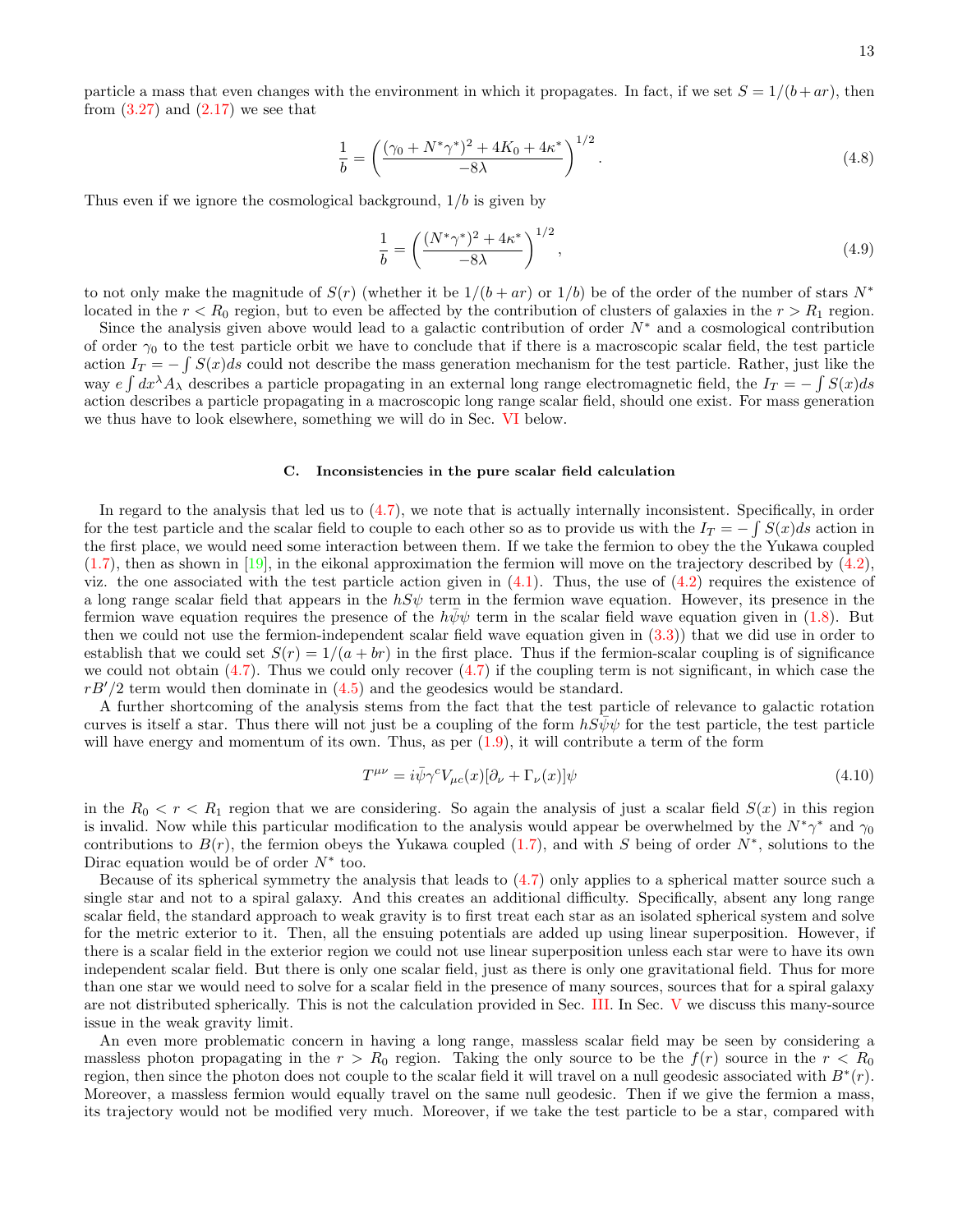particle a mass that even changes with the environment in which it propagates. In fact, if we set  $S = 1/(b + ar)$ , then from  $(3.27)$  and  $(2.17)$  we see that

<span id="page-12-0"></span>
$$
\frac{1}{b} = \left(\frac{(\gamma_0 + N^*\gamma^*)^2 + 4K_0 + 4\kappa^*}{-8\lambda}\right)^{1/2}.
$$
\n(4.8)

Thus even if we ignore the cosmological background,  $1/b$  is given by

$$
\frac{1}{b} = \left(\frac{(N^*\gamma^*)^2 + 4\kappa^*}{-8\lambda}\right)^{1/2},
$$
\n(4.9)

to not only make the magnitude of  $S(r)$  (whether it be  $1/(b + ar)$  or  $1/b$ ) be of the order of the number of stars  $N^*$ located in the  $r < R_0$  region, but to even be affected by the contribution of clusters of galaxies in the  $r > R_1$  region.

Since the analysis given above would lead to a galactic contribution of order  $N^*$  and a cosmological contribution of order  $\gamma_0$  to the test particle orbit we have to conclude that if there is a macroscopic scalar field, the test particle action  $I_T = -\int S(x)ds$  could not describe the mass generation mechanism for the test particle. Rather, just like the way  $e \int dx^{\lambda} A_{\lambda}$  describes a particle propagating in an external long range electromagnetic field, the  $I_T = -\int S(x)ds$ action describes a particle propagating in a macroscopic long range scalar field, should one exist. For mass generation we thus have to look elsewhere, something we will do in Sec. [VI](#page-14-0) below.

## C. Inconsistencies in the pure scalar field calculation

In regard to the analysis that led us to [\(4.7\)](#page-11-3), we note that is actually internally inconsistent. Specifically, in order for the test particle and the scalar field to couple to each other so as to provide us with the  $I_T = -\int S(x)ds$  action in the first place, we would need some interaction between them. If we take the fermion to obey the the Yukawa coupled  $(1.7)$ , then as shown in [\[19\]](#page-19-18), in the eikonal approximation the fermion will move on the trajectory described by  $(4.2)$ , viz. the one associated with the test particle action given in  $(4.1)$ . Thus, the use of  $(4.2)$  requires the existence of a long range scalar field that appears in the  $hS\psi$  term in the fermion wave equation. However, its presence in the fermion wave equation requires the presence of the  $h\bar{\psi}\psi$  term in the scalar field wave equation given in [\(1.8\)](#page-4-3). But then we could not use the fermion-independent scalar field wave equation given in  $(3.3)$ ) that we did use in order to establish that we could set  $S(r) = 1/(a + br)$  in the first place. Thus if the fermion-scalar coupling is of significance we could not obtain  $(4.7)$ . Thus we could only recover  $(4.7)$  if the coupling term is not significant, in which case the  $rB'/2$  term would then dominate in  $(4.5)$  and the geodesics would be standard.

A further shortcoming of the analysis stems from the fact that the test particle of relevance to galactic rotation curves is itself a star. Thus there will not just be a coupling of the form  $hS\psi\psi$  for the test particle, the test particle will have energy and momentum of its own. Thus, as per  $(1.9)$ , it will contribute a term of the form

$$
T^{\mu\nu} = i\bar{\psi}\gamma^{c}V_{\mu c}(x)[\partial_{\nu} + \Gamma_{\nu}(x)]\psi
$$
\n(4.10)

in the  $R_0 < r < R_1$  region that we are considering. So again the analysis of just a scalar field  $S(x)$  in this region is invalid. Now while this particular modification to the analysis would appear be overwhelmed by the  $N^*\gamma^*$  and  $\gamma_0$ contributions to  $B(r)$ , the fermion obeys the Yukawa coupled [\(1.7\)](#page-4-6), and with S being of order  $N^*$ , solutions to the Dirac equation would be of order  $N^*$  too.

Because of its spherical symmetry the analysis that leads to [\(4.7\)](#page-11-3) only applies to a spherical matter source such a single star and not to a spiral galaxy. And this creates an additional difficulty. Specifically, absent any long range scalar field, the standard approach to weak gravity is to first treat each star as an isolated spherical system and solve for the metric exterior to it. Then, all the ensuing potentials are added up using linear superposition. However, if there is a scalar field in the exterior region we could not use linear superposition unless each star were to have its own independent scalar field. But there is only one scalar field, just as there is only one gravitational field. Thus for more than one star we would need to solve for a scalar field in the presence of many sources, sources that for a spiral galaxy are not distributed spherically. This is not the calculation provided in Sec. [III.](#page-7-0) In Sec. [V](#page-13-0) we discuss this many-source issue in the weak gravity limit.

An even more problematic concern in having a long range, massless scalar field may be seen by considering a massless photon propagating in the  $r > R_0$  region. Taking the only source to be the  $f(r)$  source in the  $r < R_0$ region, then since the photon does not couple to the scalar field it will travel on a null geodesic associated with  $B^*(r)$ . Moreover, a massless fermion would equally travel on the same null geodesic. Then if we give the fermion a mass, its trajectory would not be modified very much. Moreover, if we take the test particle to be a star, compared with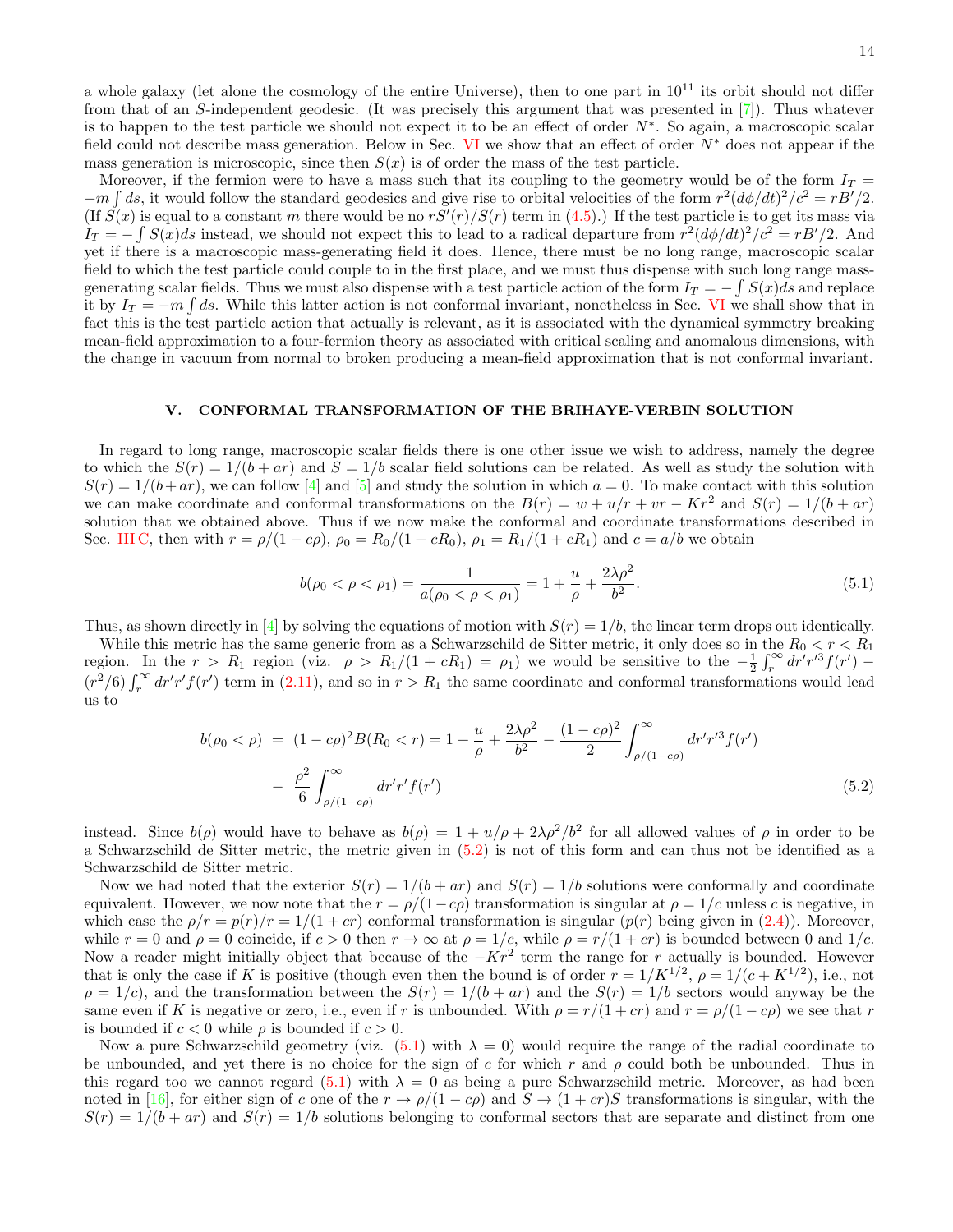a whole galaxy (let alone the cosmology of the entire Universe), then to one part in  $10^{11}$  its orbit should not differ from that of an S-independent geodesic. (It was precisely this argument that was presented in [\[7\]](#page-19-16)). Thus whatever is to happen to the test particle we should not expect it to be an effect of order  $N^*$ . So again, a macroscopic scalar field could not describe mass generation. Below in Sec. [VI](#page-14-0) we show that an effect of order  $N^*$  does not appear if the mass generation is microscopic, since then  $S(x)$  is of order the mass of the test particle.

Moreover, if the fermion were to have a mass such that its coupling to the geometry would be of the form  $I_T =$  $-m \int ds$ , it would follow the standard geodesics and give rise to orbital velocities of the form  $r^2 (d\phi/dt)^2/c^2 = rB'/2$ . (If  $S(x)$  is equal to a constant m there would be no  $rS'(r)/S(r)$  term in [\(4.5\)](#page-11-1).) If the test particle is to get its mass via  $I_T = -\int S(x)ds$  instead, we should not expect this to lead to a radical departure from  $r^2(d\phi/dt)^2/c^2 = rB'/2$ . And yet if there is a macroscopic mass-generating field it does. Hence, there must be no long range, macroscopic scalar field to which the test particle could couple to in the first place, and we must thus dispense with such long range massgenerating scalar fields. Thus we must also dispense with a test particle action of the form  $I_T = -\int S(x)ds$  and replace it by  $I_T = -m \int ds$ . While this latter action is not conformal invariant, nonetheless in Sec. [VI](#page-14-0) we shall show that in fact this is the test particle action that actually is relevant, as it is associated with the dynamical symmetry breaking mean-field approximation to a four-fermion theory as associated with critical scaling and anomalous dimensions, with the change in vacuum from normal to broken producing a mean-field approximation that is not conformal invariant.

# <span id="page-13-0"></span>V. CONFORMAL TRANSFORMATION OF THE BRIHAYE-VERBIN SOLUTION

In regard to long range, macroscopic scalar fields there is one other issue we wish to address, namely the degree to which the  $S(r) = 1/(b + ar)$  and  $S = 1/b$  scalar field solutions can be related. As well as study the solution with  $S(r) = 1/(b+ar)$ , we can follow [\[4\]](#page-19-3) and [\[5\]](#page-19-4) and study the solution in which  $a = 0$ . To make contact with this solution we can make coordinate and conformal transformations on the  $B(r) = w + u/r + v r - K r^2$  and  $S(r) = 1/(b + ar)$ solution that we obtained above. Thus if we now make the conformal and coordinate transformations described in Sec. [III C,](#page-9-3) then with  $r = \rho/(1 - c\rho)$ ,  $\rho_0 = R_0/(1 + cR_0)$ ,  $\rho_1 = R_1/(1 + cR_1)$  and  $c = a/b$  we obtain

<span id="page-13-2"></span>
$$
b(\rho_0 < \rho < \rho_1) = \frac{1}{a(\rho_0 < \rho < \rho_1)} = 1 + \frac{u}{\rho} + \frac{2\lambda\rho^2}{b^2}.\tag{5.1}
$$

Thus, as shown directly in [\[4\]](#page-19-3) by solving the equations of motion with  $S(r) = 1/b$ , the linear term drops out identically.

While this metric has the same generic from as a Schwarzschild de Sitter metric, it only does so in the  $R_0 < r < R_1$ region. In the  $r > R_1$  region (viz.  $\rho > R_1/(1 + cR_1) = \rho_1$ ) we would be sensitive to the  $-\frac{1}{2} \int_r^{\infty} dr' r'^3 f(r')$  $(r^2/6)\int_r^{\infty} dr'r' f(r')$  term in [\(2.11\)](#page-5-4), and so in  $r > R_1$  the same coordinate and conformal transformations would lead us to

<span id="page-13-1"></span>
$$
b(\rho_0 < \rho) = (1 - c\rho)^2 B(R_0 < r) = 1 + \frac{u}{\rho} + \frac{2\lambda\rho^2}{b^2} - \frac{(1 - c\rho)^2}{2} \int_{\rho/(1 - c\rho)}^{\infty} dr' r'^3 f(r')
$$
  
-  $\frac{\rho^2}{6} \int_{\rho/(1 - c\rho)}^{\infty} dr' r' f(r')$  (5.2)

instead. Since  $b(\rho)$  would have to behave as  $b(\rho) = 1 + u/\rho + 2\lambda\rho^2/b^2$  for all allowed values of  $\rho$  in order to be a Schwarzschild de Sitter metric, the metric given in [\(5.2\)](#page-13-1) is not of this form and can thus not be identified as a Schwarzschild de Sitter metric.

Now we had noted that the exterior  $S(r) = 1/(b + ar)$  and  $S(r) = 1/b$  solutions were conformally and coordinate equivalent. However, we now note that the  $r = \rho/(1-c\rho)$  transformation is singular at  $\rho = 1/c$  unless c is negative, in which case the  $\rho/r = p(r)/r = 1/(1+cr)$  conformal transformation is singular  $(p(r))$  being given in [\(2.4\)](#page-4-5)). Moreover, while  $r = 0$  and  $\rho = 0$  coincide, if  $c > 0$  then  $r \to \infty$  at  $\rho = 1/c$ , while  $\rho = r/(1+cr)$  is bounded between 0 and  $1/c$ . Now a reader might initially object that because of the  $-Kr^2$  term the range for r actually is bounded. However that is only the case if K is positive (though even then the bound is of order  $r = 1/K^{1/2}$ ,  $\rho = 1/(c + K^{1/2})$ , i.e., not  $\rho = 1/c$ , and the transformation between the  $S(r) = 1/(b + ar)$  and the  $S(r) = 1/b$  sectors would anyway be the same even if K is negative or zero, i.e., even if r is unbounded. With  $\rho = r/(1+cr)$  and  $r = \rho/(1-c\rho)$  we see that r is bounded if  $c < 0$  while  $\rho$  is bounded if  $c > 0$ .

Now a pure Schwarzschild geometry (viz.  $(5.1)$  with  $\lambda = 0$ ) would require the range of the radial coordinate to be unbounded, and yet there is no choice for the sign of c for which r and  $\rho$  could both be unbounded. Thus in this regard too we cannot regard [\(5.1\)](#page-13-2) with  $\lambda = 0$  as being a pure Schwarzschild metric. Moreover, as had been noted in [\[16\]](#page-19-14), for either sign of c one of the  $r \to \rho/(1-c\rho)$  and  $S \to (1+cr)S$  transformations is singular, with the  $S(r) = 1/(b + ar)$  and  $S(r) = 1/b$  solutions belonging to conformal sectors that are separate and distinct from one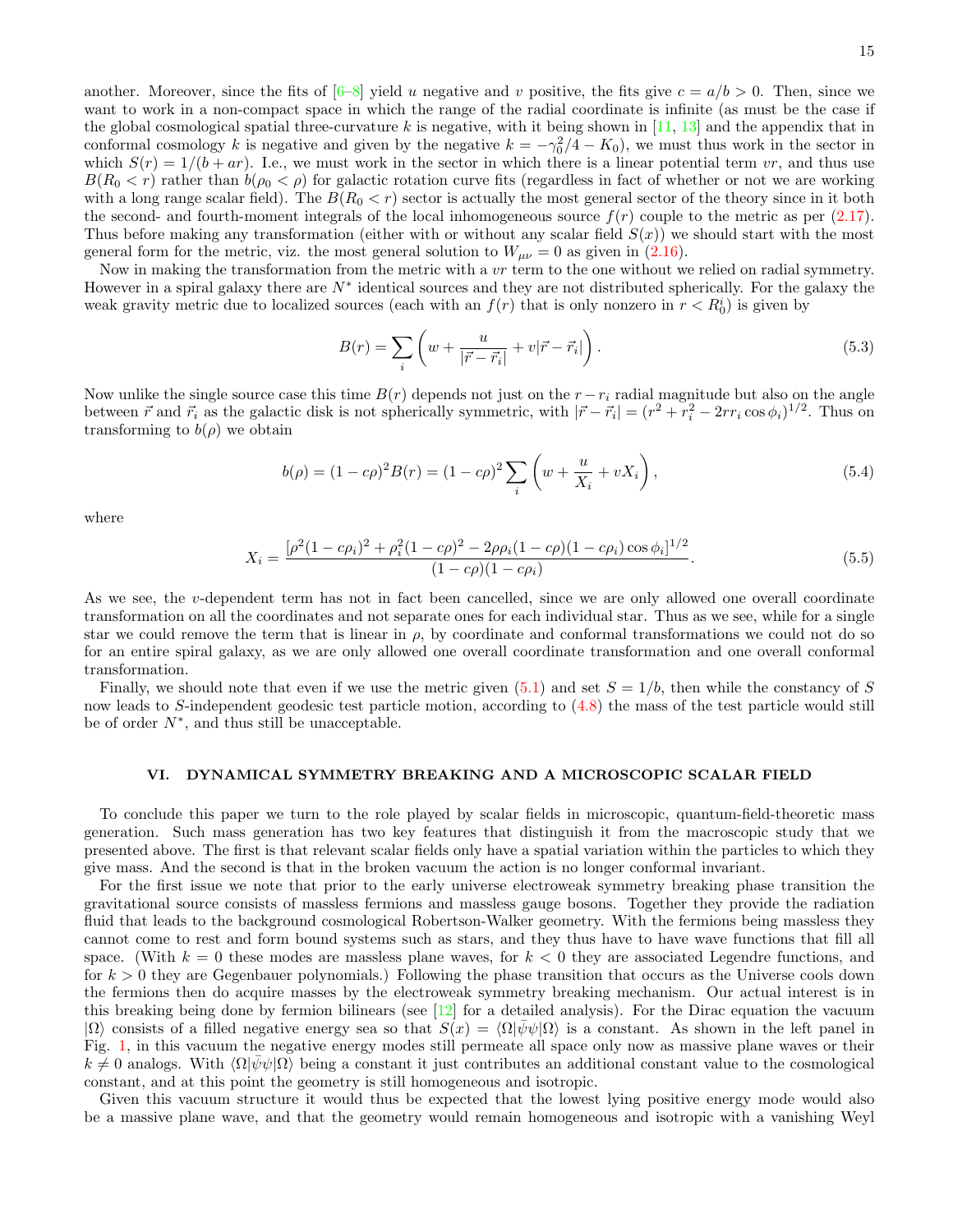another. Moreover, since the fits of  $[6-8]$  yield u negative and v positive, the fits give  $c = a/b > 0$ . Then, since we want to work in a non-compact space in which the range of the radial coordinate is infinite (as must be the case if the global cosmological spatial three-curvature k is negative, with it being shown in  $[11, 13]$  $[11, 13]$  and the appendix that in conformal cosmology k is negative and given by the negative  $k = -\gamma_0^2/4 - K_0$ , we must thus work in the sector in which  $S(r) = 1/(b + ar)$ . I.e., we must work in the sector in which there is a linear potential term vr, and thus use  $B(R_0 < r)$  rather than  $b(\rho_0 < \rho)$  for galactic rotation curve fits (regardless in fact of whether or not we are working with a long range scalar field). The  $B(R_0 < r)$  sector is actually the most general sector of the theory since in it both the second- and fourth-moment integrals of the local inhomogeneous source  $f(r)$  couple to the metric as per  $(2.17)$ . Thus before making any transformation (either with or without any scalar field  $S(x)$ ) we should start with the most general form for the metric, viz. the most general solution to  $W_{\mu\nu} = 0$  as given in [\(2.16\)](#page-6-0).

Now in making the transformation from the metric with a  $vr$  term to the one without we relied on radial symmetry. However in a spiral galaxy there are  $N^*$  identical sources and they are not distributed spherically. For the galaxy the weak gravity metric due to localized sources (each with an  $f(r)$  that is only nonzero in  $r < R_0^i$ ) is given by

$$
B(r) = \sum_{i} \left( w + \frac{u}{|\vec{r} - \vec{r}_i|} + v|\vec{r} - \vec{r}_i| \right).
$$
 (5.3)

Now unlike the single source case this time  $B(r)$  depends not just on the  $r - r_i$  radial magnitude but also on the angle between  $\vec{r}$  and  $\vec{r}_i$  as the galactic disk is not spherically symmetric, with  $|\vec{r} - \vec{r}_i| = (r^2 + r_i^2 - 2rr_i \cos \phi_i)^{1/2}$ . Thus on transforming to  $b(\rho)$  we obtain

$$
b(\rho) = (1 - c\rho)^2 B(r) = (1 - c\rho)^2 \sum_{i} \left( w + \frac{u}{X_i} + vX_i \right),
$$
\n(5.4)

where

$$
X_i = \frac{\left[\rho^2 (1 - c\rho_i)^2 + \rho_i^2 (1 - c\rho)^2 - 2\rho \rho_i (1 - c\rho)(1 - c\rho_i)\cos\phi_i\right]^{1/2}}{(1 - c\rho)(1 - c\rho_i)}.
$$
\n(5.5)

As we see, the v-dependent term has not in fact been cancelled, since we are only allowed one overall coordinate transformation on all the coordinates and not separate ones for each individual star. Thus as we see, while for a single star we could remove the term that is linear in  $\rho$ , by coordinate and conformal transformations we could not do so for an entire spiral galaxy, as we are only allowed one overall coordinate transformation and one overall conformal transformation.

Finally, we should note that even if we use the metric given  $(5.1)$  and set  $S = 1/b$ , then while the constancy of S now leads to S-independent geodesic test particle motion, according to [\(4.8\)](#page-12-0) the mass of the test particle would still be of order  $N^*$ , and thus still be unacceptable.

## <span id="page-14-0"></span>VI. DYNAMICAL SYMMETRY BREAKING AND A MICROSCOPIC SCALAR FIELD

To conclude this paper we turn to the role played by scalar fields in microscopic, quantum-field-theoretic mass generation. Such mass generation has two key features that distinguish it from the macroscopic study that we presented above. The first is that relevant scalar fields only have a spatial variation within the particles to which they give mass. And the second is that in the broken vacuum the action is no longer conformal invariant.

For the first issue we note that prior to the early universe electroweak symmetry breaking phase transition the gravitational source consists of massless fermions and massless gauge bosons. Together they provide the radiation fluid that leads to the background cosmological Robertson-Walker geometry. With the fermions being massless they cannot come to rest and form bound systems such as stars, and they thus have to have wave functions that fill all space. (With  $k = 0$  these modes are massless plane waves, for  $k < 0$  they are associated Legendre functions, and for  $k > 0$  they are Gegenbauer polynomials.) Following the phase transition that occurs as the Universe cools down the fermions then do acquire masses by the electroweak symmetry breaking mechanism. Our actual interest is in this breaking being done by fermion bilinears (see  $[12]$  for a detailed analysis). For the Dirac equation the vacuum  $|\Omega\rangle$  consists of a filled negative energy sea so that  $S(x) = \langle \Omega | \bar{\psi} \psi | \Omega \rangle$  is a constant. As shown in the left panel in Fig. [1,](#page-15-0) in this vacuum the negative energy modes still permeate all space only now as massive plane waves or their  $k \neq 0$  analogs. With  $\langle \Omega | \bar{\psi} \psi | \Omega \rangle$  being a constant it just contributes an additional constant value to the cosmological constant, and at this point the geometry is still homogeneous and isotropic.

Given this vacuum structure it would thus be expected that the lowest lying positive energy mode would also be a massive plane wave, and that the geometry would remain homogeneous and isotropic with a vanishing Weyl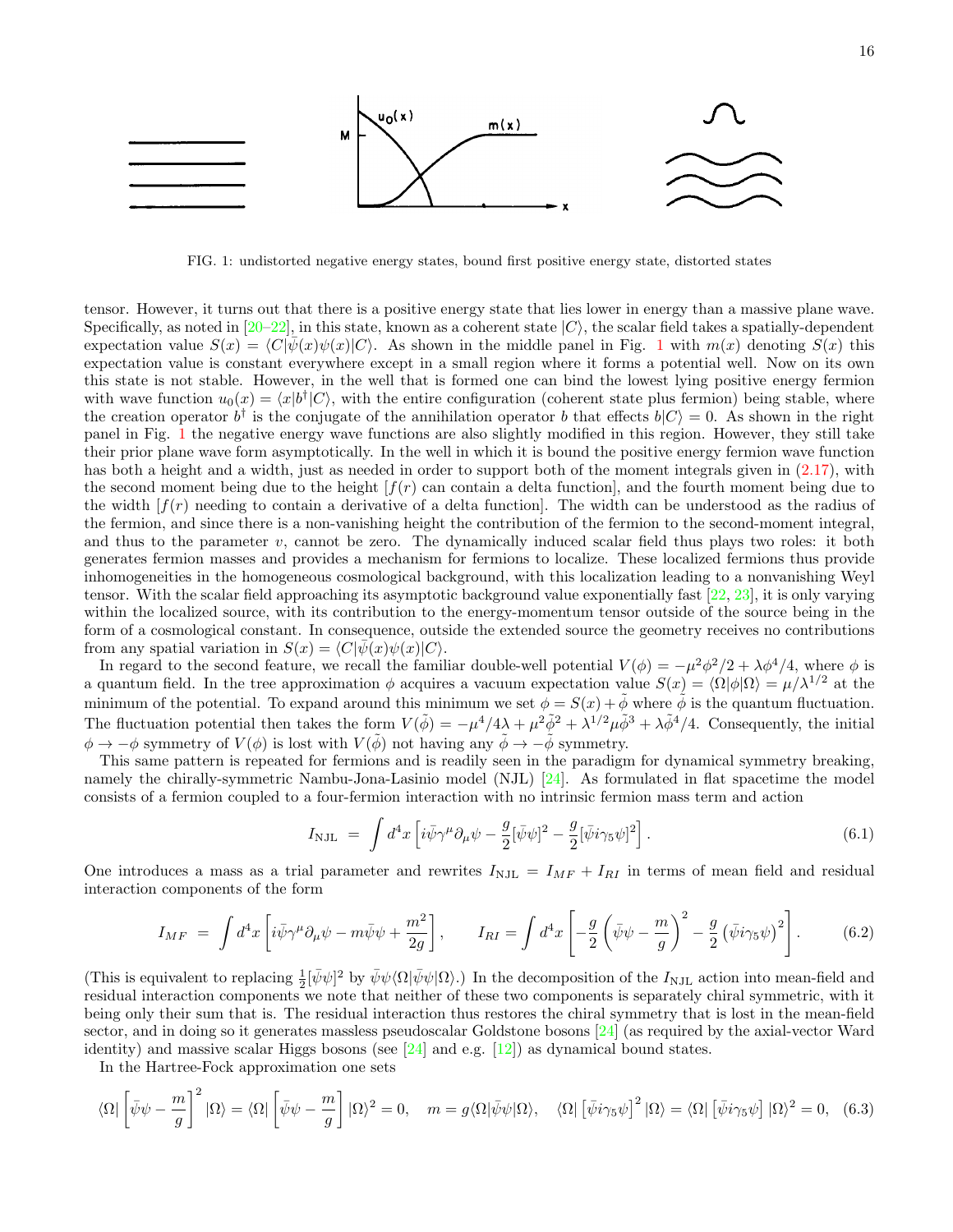

FIG. 1: undistorted negative energy states, bound first positive energy state, distorted states

<span id="page-15-0"></span>tensor. However, it turns out that there is a positive energy state that lies lower in energy than a massive plane wave. Specifically, as noted in  $[20-22]$  $[20-22]$ , in this state, known as a coherent state  $|C\rangle$ , the scalar field takes a spatially-dependent expectation value  $S(x) = \langle C|\overline{\psi}(x)\psi(x)|C\rangle$ . As shown in the middle panel in Fig. 1 with  $m(x)$  denoting  $S(x)$  this expectation value is constant everywhere except in a small region where it forms a potential well. Now on its own this state is not stable. However, in the well that is formed one can bind the lowest lying positive energy fermion with wave function  $u_0(x) = \langle x|b^{\dagger}|C\rangle$ , with the entire configuration (coherent state plus fermion) being stable, where the creation operator  $b^{\dagger}$  is the conjugate of the annihilation operator b that effects  $b|C\rangle = 0$ . As shown in the right panel in Fig. 1 the negative energy wave functions are also slightly modified in this region. However, they still take their prior plane wave form asymptotically. In the well in which it is bound the positive energy fermion wave function has both a height and a width, just as needed in order to support both of [the](#page-6-3) moment integrals given in  $(2.17)$ , with the second moment being due to the height  $[f(r)]$  can contain a delta function, and the fourth moment being due to the width  $[f(r)]$  needing to contain a derivative of a delta function. The width can be understood as the radius of the fermion, and since there is a non-vanishing height the contribution of the fermion to the second-moment integral, inhomogeneities in the homogeneous cosmological background, with this localization leading to a nonvanishing Weyl tensor. With the scalar field approaching its asymptotic background value exponentially fast  $[22, 23]$  $[22, 23]$ , it is only varying and thus to the parameter v, cannot be zero. The dynamically induced scalar field thus plays two roles: it both generates fermion masses and provides a mechanism for fermions to localize. These localized fermions thus provide within the localized source, with its contribution to the energy-momentum tensor outside of the source being in the form of a cosmological constant. In consequence, outside the extended source the geometry receives no contributions from any spatial variation in  $S(x) = \langle C|\bar{\psi}(x)\psi(x)|C\rangle$ .

minimum of the potential. To expand around this minimum we set  $\phi = S(x) + \tilde{\phi}$  where  $\tilde{\phi}$  is the quantum fluctuation. In regard to the second feature, we recall the familiar double-well potential  $V(\phi) = -\mu^2 \phi^2/2 + \lambda \phi^4/4$ , where  $\phi$  is a quantum field. In the tree approximation  $\phi$  acquires a vacuum expectation value  $S(x) = \langle \Omega | \phi | \Omega \rangle = \mu / \lambda^{1/2}$  at the The fluctuation potential then takes the form  $V(\tilde{\phi}) = -\mu^4/4\lambda + \mu^2 \tilde{\phi}^2 + \lambda^{1/2} \mu \tilde{\phi}^3 + \lambda \tilde{\phi}^4/4$ . Consequently, the initial  $\phi \to -\phi$  symmetry of  $V(\phi)$  is lost with  $V(\tilde{\phi})$  not having any  $\tilde{\phi} \to -\tilde{\phi}$  symmetry.

consists of a fermion coupled to a four-fermion interaction with no intrinsic fermion mass term and action This same pattern is repeated for fermions and is readily seen in the paradigm for dynamical symmetry breaking, namely the chirally-symmetric Nambu-Jona-Lasinio model (NJL)  $[24]$ . As formulated in flat spacetime the model

$$
I_{\rm NJL} = \int d^4x \left[ i \bar{\psi} \gamma^\mu \partial_\mu \psi - \frac{g}{2} [\bar{\psi} \psi]^2 - \frac{g}{2} [\bar{\psi} i \gamma_5 \psi]^2 \right]. \tag{6.1}
$$

One introduces a mass as a trial parameter and rewrites  $I_{\text{NJL}} = I_{MF} + I_{RI}$  in terms of mean field and residual interaction components of the form interaction components of the form

$$
I_{MF} = \int d^4x \left[ i\bar{\psi}\gamma^{\mu}\partial_{\mu}\psi - m\bar{\psi}\psi + \frac{m^2}{2g} \right], \qquad I_{RI} = \int d^4x \left[ -\frac{g}{2} \left( \bar{\psi}\psi - \frac{m}{g} \right)^2 - \frac{g}{2} \left( \bar{\psi}i\gamma_5\psi \right)^2 \right]. \tag{6.2}
$$

(This is equivalent to replacing  $\frac{1}{2}[\bar{\psi}\psi]^2$  by  $\bar{\psi}\psi\langle\Omega|\bar{\psi}\psi|\Omega\rangle$ .) In the decomposition of the  $I_{\rm NJL}$  action into mean-field and residual interaction components we note that neither of these two components is separately chiral symmetric, with it being only their sum that is. The residual interaction thus restores the chiral symmetry that is lost in the mean-field sector, and in doing so it generates massless pseudoscalar Goldstone bosons  $[24]$  $[24]$  (as required by the axial-vector Ward identity) and massive scalar Higgs bosons (see  $[24]$  $[24]$  and e.g.  $[12]$ ) as dynamical bound states.

In the Hartree-Fock approximation one sets In the Hartree-Fock approximation one sets

$$
\langle \Omega | \left[ \bar{\psi}\psi - \frac{m}{g} \right]^2 | \Omega \rangle = \langle \Omega | \left[ \bar{\psi}\psi - \frac{m}{g} \right] | \Omega \rangle^2 = 0, \quad m = g \langle \Omega | \bar{\psi}\psi | \Omega \rangle, \quad \langle \Omega | \left[ \bar{\psi}i\gamma_5\psi \right]^2 | \Omega \rangle = \langle \Omega | \left[ \bar{\psi}i\gamma_5\psi \right] | \Omega \rangle^2 = 0, \quad (6.3)
$$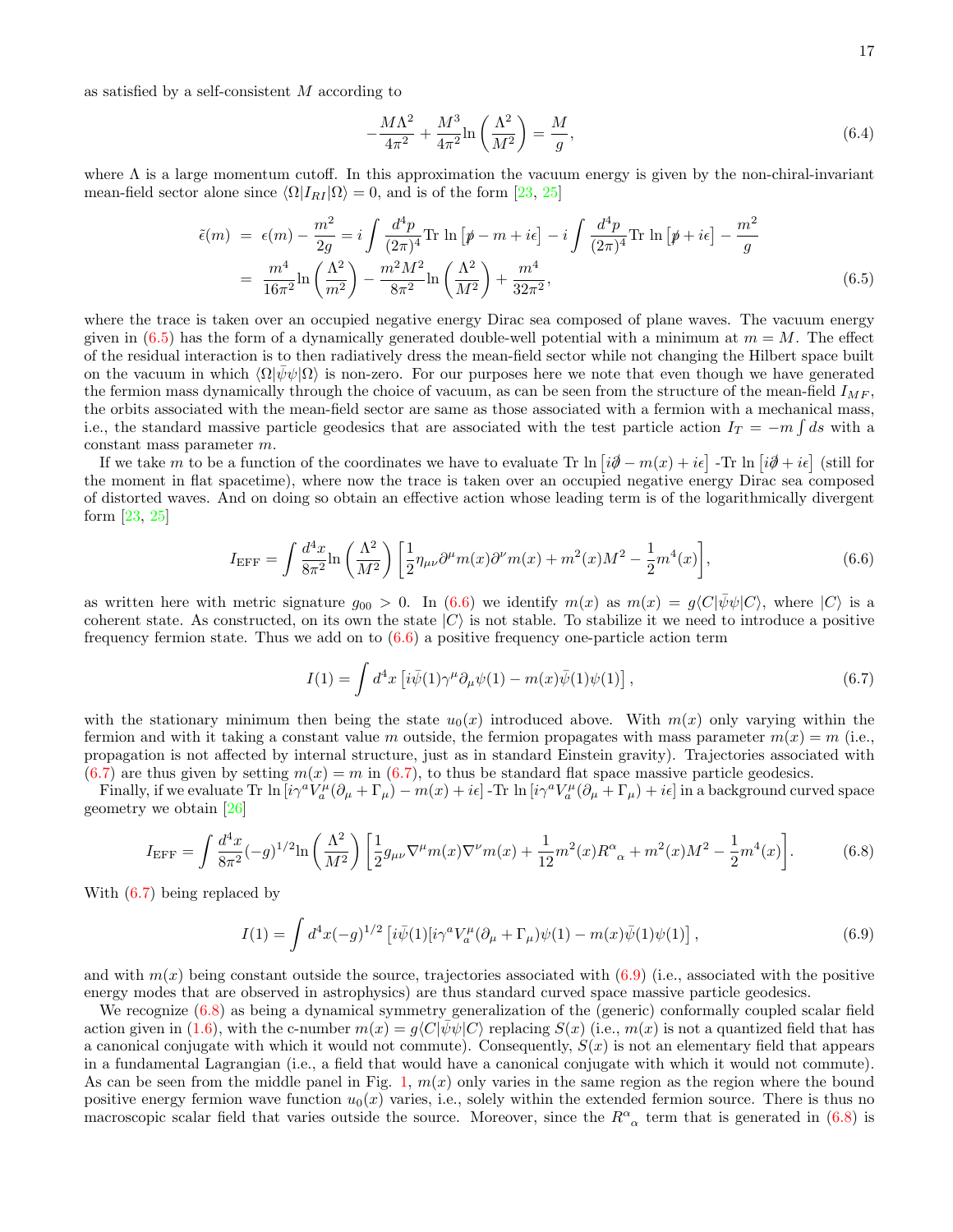as satisfied by a self-consistent  $M$  according to

<span id="page-16-5"></span>
$$
-\frac{M\Lambda^2}{4\pi^2} + \frac{M^3}{4\pi^2} \ln\left(\frac{\Lambda^2}{M^2}\right) = \frac{M}{g},\tag{6.4}
$$

where  $\Lambda$  is a large momentum cutoff. In this approximation the vacuum energy is given by the non-chiral-invariant mean-field sector alone since  $\langle \Omega | I_{RI} | \Omega \rangle = 0$ , and is of the form [\[23,](#page-19-21) [25\]](#page-19-23)

<span id="page-16-0"></span>
$$
\tilde{\epsilon}(m) = \epsilon(m) - \frac{m^2}{2g} = i \int \frac{d^4 p}{(2\pi)^4} \text{Tr} \ln \left[ p - m + i\epsilon \right] - i \int \frac{d^4 p}{(2\pi)^4} \text{Tr} \ln \left[ p + i\epsilon \right] - \frac{m^2}{g}
$$
\n
$$
= \frac{m^4}{16\pi^2} \ln \left( \frac{\Lambda^2}{m^2} \right) - \frac{m^2 M^2}{8\pi^2} \ln \left( \frac{\Lambda^2}{M^2} \right) + \frac{m^4}{32\pi^2},\tag{6.5}
$$

where the trace is taken over an occupied negative energy Dirac sea composed of plane waves. The vacuum energy given in  $(6.5)$  has the form of a dynamically generated double-well potential with a minimum at  $m = M$ . The effect of the residual interaction is to then radiatively dress the mean-field sector while not changing the Hilbert space built on the vacuum in which  $\langle \Omega | \bar{\psi} \psi | \Omega \rangle$  is non-zero. For our purposes here we note that even though we have generated the fermion mass dynamically through the choice of vacuum, as can be seen from the structure of the mean-field  $I_{MF}$ , the orbits associated with the mean-field sector are same as those associated with a fermion with a mechanical mass, i.e., the standard massive particle geodesics that are associated with the test particle action  $I_T = -m \int ds$  with a constant mass parameter m.

If we take m to be a function of the coordinates we have to evaluate Tr ln  $[i\partial \theta - m(x) + i\epsilon]$  -Tr ln  $[i\partial \theta + i\epsilon]$  (still for the moment in flat spacetime), where now the trace is taken over an occupied negative energy Dirac sea composed of distorted waves. And on doing so obtain an effective action whose leading term is of the logarithmically divergent form [\[23,](#page-19-21) [25\]](#page-19-23)

<span id="page-16-1"></span>
$$
I_{\rm EFF} = \int \frac{d^4x}{8\pi^2} \ln\left(\frac{\Lambda^2}{M^2}\right) \left[\frac{1}{2}\eta_{\mu\nu}\partial^\mu m(x)\partial^\nu m(x) + m^2(x)M^2 - \frac{1}{2}m^4(x)\right],\tag{6.6}
$$

as written here with metric signature  $g_{00} > 0$ . In [\(6.6\)](#page-16-1) we identify  $m(x)$  as  $m(x) = g\langle C|\psi\psi|C\rangle$ , where  $|C\rangle$  is a coherent state. As constructed, on its own the state  $|C\rangle$  is not stable. To stabilize it we need to introduce a positive frequency fermion state. Thus we add on to  $(6.6)$  a positive frequency one-particle action term

<span id="page-16-2"></span>
$$
I(1) = \int d^4x \left[ i\bar{\psi}(1)\gamma^\mu \partial_\mu \psi(1) - m(x)\bar{\psi}(1)\psi(1) \right],\tag{6.7}
$$

with the stationary minimum then being the state  $u_0(x)$  introduced above. With  $m(x)$  only varying within the fermion and with it taking a constant value m outside, the fermion propagates with mass parameter  $m(x) = m$  (i.e., propagation is not affected by internal structure, just as in standard Einstein gravity). Trajectories associated with  $(6.7)$  are thus given by setting  $m(x) = m$  in  $(6.7)$ , to thus be standard flat space massive particle geodesics.

Finally, if we evaluate Tr  $\ln[i\gamma^a V_a^{\mu}(\partial_{\mu} + \Gamma_{\mu}) - m(x) + i\epsilon]$  -Tr  $\ln[i\gamma^a V_a^{\mu}(\partial_{\mu} + \Gamma_{\mu}) + i\epsilon]$  in a background curved space geometry we obtain [\[26\]](#page-19-24)

<span id="page-16-4"></span>
$$
I_{\rm EFF} = \int \frac{d^4x}{8\pi^2} (-g)^{1/2} \ln\left(\frac{\Lambda^2}{M^2}\right) \left[ \frac{1}{2} g_{\mu\nu} \nabla^\mu m(x) \nabla^\nu m(x) + \frac{1}{12} m^2(x) R^\alpha{}_\alpha + m^2(x) M^2 - \frac{1}{2} m^4(x) \right].\tag{6.8}
$$

With [\(6.7\)](#page-16-2) being replaced by

<span id="page-16-3"></span>
$$
I(1) = \int d^4x (-g)^{1/2} \left[ i\bar{\psi}(1)[i\gamma^a V_a^{\mu}(\partial_{\mu} + \Gamma_{\mu})\psi(1) - m(x)\bar{\psi}(1)\psi(1) \right],
$$
\n(6.9)

and with  $m(x)$  being constant outside the source, trajectories associated with  $(6.9)$  (i.e., associated with the positive energy modes that are observed in astrophysics) are thus standard curved space massive particle geodesics.

We recognize  $(6.8)$  as being a dynamical symmetry generalization of the (generic) conformally coupled scalar field action given in [\(1.6\)](#page-3-2), with the c-number  $m(x) = g\langle C|\psi\psi|C\rangle$  replacing  $S(x)$  (i.e.,  $m(x)$  is not a quantized field that has a canonical conjugate with which it would not commute). Consequently,  $S(x)$  is not an elementary field that appears in a fundamental Lagrangian (i.e., a field that would have a canonical conjugate with which it would not commute). As can be seen from the middle panel in Fig. [1,](#page-15-0)  $m(x)$  only varies in the same region as the region where the bound positive energy fermion wave function  $u_0(x)$  varies, i.e., solely within the extended fermion source. There is thus no macroscopic scalar field that varies outside the source. Moreover, since the  $R^{\alpha}{}_{\alpha}$  term that is generated in [\(6.8\)](#page-16-4) is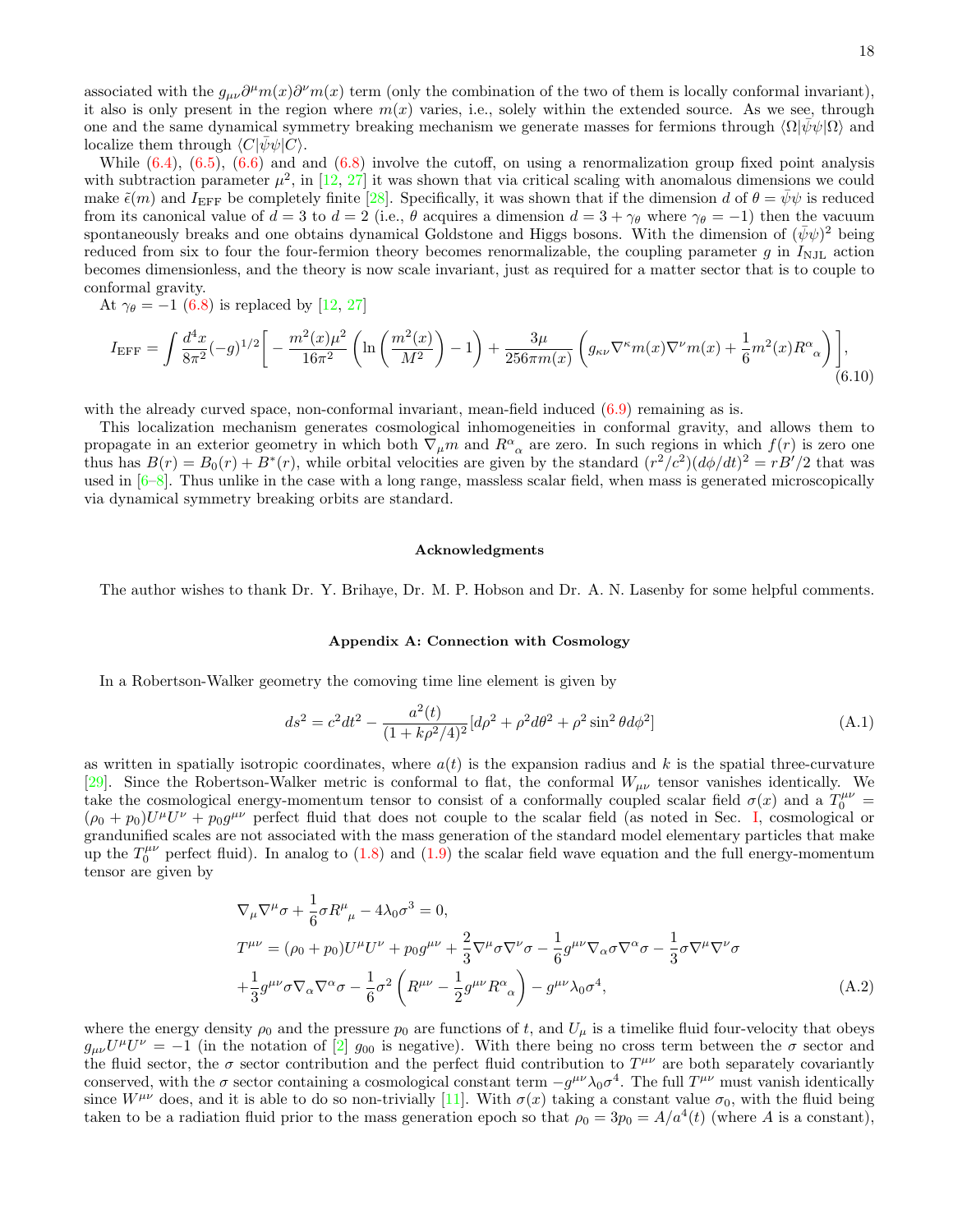associated with the  $g_{\mu\nu}\partial^{\mu}m(x)\partial^{\nu}m(x)$  term (only the combination of the two of them is locally conformal invariant), it also is only present in the region where  $m(x)$  varies, i.e., solely within the extended source. As we see, through one and the same dynamical symmetry breaking mechanism we generate masses for fermions through  $\langle \Omega | \bar{\psi} \psi | \Omega \rangle$  and localize them through  $\langle C|\bar{\psi}\psi|C\rangle$ .

While  $(6.4)$ ,  $(6.5)$ ,  $(6.6)$  and and  $(6.8)$  involve the cutoff, on using a renormalization group fixed point analysis with subtraction parameter  $\mu^2$ , in [\[12,](#page-19-10) [27\]](#page-19-25) it was shown that via critical scaling with anomalous dimensions we could make  $\tilde{\epsilon}(m)$  and  $I_{\rm EFF}$  be completely finite [\[28\]](#page-19-26). Specifically, it was shown that if the dimension d of  $\theta = \bar{\psi}\psi$  is reduced from its canonical value of  $d = 3$  to  $d = 2$  (i.e.,  $\theta$  acquires a dimension  $d = 3 + \gamma_{\theta}$  where  $\gamma_{\theta} = -1$ ) then the vacuum spontaneously breaks and one obtains dynamical Goldstone and Higgs bosons. With the dimension of  $(\bar{\psi}\psi)^2$  being reduced from six to four the four-fermion theory becomes renormalizable, the coupling parameter g in  $I_{\text{NJL}}$  action becomes dimensionless, and the theory is now scale invariant, just as required for a matter sector that is to couple to conformal gravity.

At  $\gamma_{\theta} = -1$  [\(6.8\)](#page-16-4) is replaced by [\[12,](#page-19-10) [27\]](#page-19-25)

$$
I_{\rm EFF} = \int \frac{d^4x}{8\pi^2} (-g)^{1/2} \bigg[ -\frac{m^2(x)\mu^2}{16\pi^2} \left( \ln\left(\frac{m^2(x)}{M^2}\right) - 1 \right) + \frac{3\mu}{256\pi m(x)} \left( g_{\kappa\nu} \nabla^{\kappa} m(x) \nabla^{\nu} m(x) + \frac{1}{6} m^2(x) R^{\alpha}{}_{\alpha} \right) \bigg],\tag{6.10}
$$

with the already curved space, non-conformal invariant, mean-field induced  $(6.9)$  remaining as is.

This localization mechanism generates cosmological inhomogeneities in conformal gravity, and allows them to propagate in an exterior geometry in which both  $\nabla_{\mu} m$  and  $R^{\alpha}{}_{\alpha}$  are zero. In such regions in which  $f(r)$  is zero one thus has  $B(r) = B_0(r) + B^*(r)$ , while orbital velocities are given by the standard  $(r^2/c^2)(d\phi/dt)^2 = rB'/2$  that was used in  $[6-8]$  $[6-8]$ . Thus unlike in the case with a long range, massless scalar field, when mass is generated microscopically via dynamical symmetry breaking orbits are standard.

#### Acknowledgments

The author wishes to thank Dr. Y. Brihaye, Dr. M. P. Hobson and Dr. A. N. Lasenby for some helpful comments.

# Appendix A: Connection with Cosmology

In a Robertson-Walker geometry the comoving time line element is given by

<span id="page-17-0"></span>
$$
ds^{2} = c^{2}dt^{2} - \frac{a^{2}(t)}{(1 + k\rho^{2}/4)^{2}}[d\rho^{2} + \rho^{2}d\theta^{2} + \rho^{2}\sin^{2}\theta d\phi^{2}]
$$
 (A.1)

as written in spatially isotropic coordinates, where  $a(t)$  is the expansion radius and k is the spatial three-curvature [\[29\]](#page-19-27). Since the Robertson-Walker metric is conformal to flat, the conformal  $W_{\mu\nu}$  tensor vanishes identically. We take the cosmological energy-momentum tensor to consist of a conformally coupled scalar field  $\sigma(x)$  and a  $T_0^{\mu\nu}$  $(\rho_0 + p_0)U^{\mu}U^{\nu} + p_0g^{\mu\nu}$  perfect fluid that does not couple to the scalar field (as noted in Sec. [I,](#page-0-0) cosmological or grandunified scales are not associated with the mass generation of the standard model elementary particles that make up the  $T_0^{\mu\nu}$  perfect fluid). In analog to [\(1.8\)](#page-4-3) and [\(1.9\)](#page-4-4) the scalar field wave equation and the full energy-momentum tensor are given by

<span id="page-17-1"></span>
$$
\nabla_{\mu}\nabla^{\mu}\sigma + \frac{1}{6}\sigma R^{\mu}_{\ \mu} - 4\lambda_{0}\sigma^{3} = 0,
$$
\n
$$
T^{\mu\nu} = (\rho_{0} + p_{0})U^{\mu}U^{\nu} + p_{0}g^{\mu\nu} + \frac{2}{3}\nabla^{\mu}\sigma\nabla^{\nu}\sigma - \frac{1}{6}g^{\mu\nu}\nabla_{\alpha}\sigma\nabla^{\alpha}\sigma - \frac{1}{3}\sigma\nabla^{\mu}\nabla^{\nu}\sigma
$$
\n
$$
+ \frac{1}{3}g^{\mu\nu}\sigma\nabla_{\alpha}\nabla^{\alpha}\sigma - \frac{1}{6}\sigma^{2}\left(R^{\mu\nu} - \frac{1}{2}g^{\mu\nu}R^{\alpha}_{\ \alpha}\right) - g^{\mu\nu}\lambda_{0}\sigma^{4},\tag{A.2}
$$

where the energy density  $\rho_0$  and the pressure  $p_0$  are functions of t, and  $U_\mu$  is a timelike fluid four-velocity that obeys  $g_{\mu\nu}U^{\mu}U^{\nu} = -1$  (in the notation of [\[2\]](#page-19-1)  $g_{00}$  is negative). With there being no cross term between the  $\sigma$  sector and the fluid sector, the  $\sigma$  sector contribution and the perfect fluid contribution to  $T^{\mu\nu}$  are both separately covariantly conserved, with the  $\sigma$  sector containing a cosmological constant term  $-g^{\mu\nu}\lambda_0\sigma^4$ . The full  $T^{\mu\nu}$  must vanish identically since  $W^{\mu\nu}$  does, and it is able to do so non-trivially [\[11\]](#page-19-9). With  $\sigma(x)$  taking a constant value  $\sigma_0$ , with the fluid being taken to be a radiation fluid prior to the mass generation epoch so that  $\rho_0 = 3p_0 = A/a^4(t)$  (where A is a constant),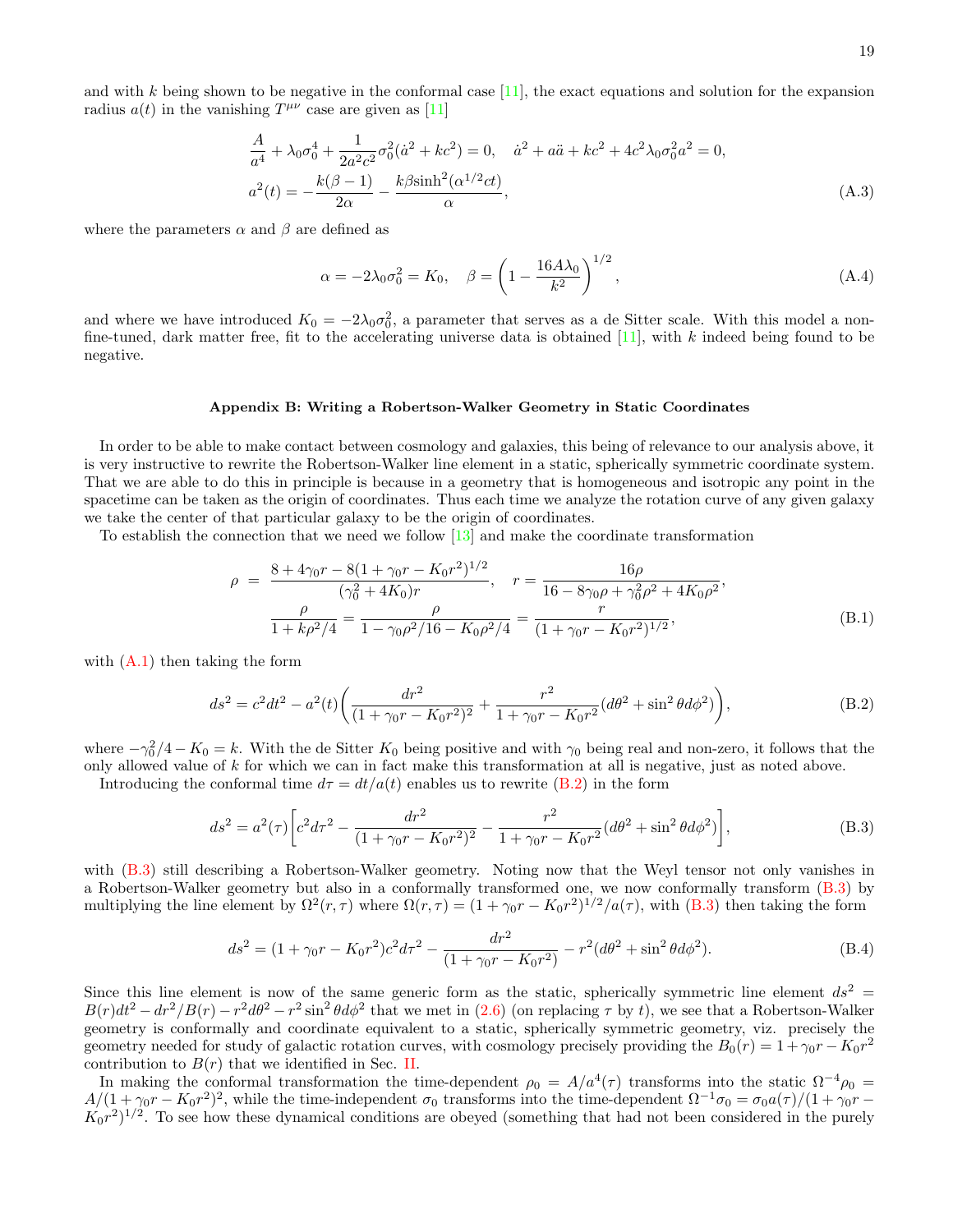and with  $k$  being shown to be negative in the conformal case  $[11]$ , the exact equations and solution for the expansion radius  $a(t)$  in the vanishing  $T^{\mu\nu}$  case are given as [\[11\]](#page-19-9)

<span id="page-18-3"></span>
$$
\frac{A}{a^4} + \lambda_0 \sigma_0^4 + \frac{1}{2a^2 c^2} \sigma_0^2 (\dot{a}^2 + kc^2) = 0, \quad \dot{a}^2 + a\ddot{a} + kc^2 + 4c^2 \lambda_0 \sigma_0^2 a^2 = 0,
$$
  

$$
a^2(t) = -\frac{k(\beta - 1)}{2\alpha} - \frac{k\beta \sinh^2(\alpha^{1/2}ct)}{\alpha},
$$
 (A.3)

where the parameters  $\alpha$  and  $\beta$  are defined as

$$
\alpha = -2\lambda_0 \sigma_0^2 = K_0, \quad \beta = \left(1 - \frac{16A\lambda_0}{k^2}\right)^{1/2}, \tag{A.4}
$$

and where we have introduced  $K_0 = -2\lambda_0\sigma_0^2$ , a parameter that serves as a de Sitter scale. With this model a nonfine-tuned, dark matter free, fit to the accelerating universe data is obtained  $[11]$ , with k indeed being found to be negative.

## Appendix B: Writing a Robertson-Walker Geometry in Static Coordinates

In order to be able to make contact between cosmology and galaxies, this being of relevance to our analysis above, it is very instructive to rewrite the Robertson-Walker line element in a static, spherically symmetric coordinate system. That we are able to do this in principle is because in a geometry that is homogeneous and isotropic any point in the spacetime can be taken as the origin of coordinates. Thus each time we analyze the rotation curve of any given galaxy we take the center of that particular galaxy to be the origin of coordinates.

To establish the connection that we need we follow [\[13\]](#page-19-11) and make the coordinate transformation

$$
\rho = \frac{8 + 4\gamma_0 r - 8(1 + \gamma_0 r - K_0 r^2)^{1/2}}{(\gamma_0^2 + 4K_0)r}, \quad r = \frac{16\rho}{16 - 8\gamma_0 \rho + \gamma_0^2 \rho^2 + 4K_0 \rho^2},
$$

$$
\frac{\rho}{1 + k\rho^2/4} = \frac{\rho}{1 - \gamma_0 \rho^2/16 - K_0 \rho^2/4} = \frac{r}{(1 + \gamma_0 r - K_0 r^2)^{1/2}},
$$
(B.1)

with  $(A.1)$  then taking the form

<span id="page-18-0"></span>
$$
ds^{2} = c^{2}dt^{2} - a^{2}(t)\left(\frac{dr^{2}}{(1+\gamma_{0}r-K_{0}r^{2})^{2}} + \frac{r^{2}}{1+\gamma_{0}r-K_{0}r^{2}}(d\theta^{2} + \sin^{2}\theta d\phi^{2})\right),
$$
\n(B.2)

where  $-\gamma_0^2/4 - K_0 = k$ . With the de Sitter  $K_0$  being positive and with  $\gamma_0$  being real and non-zero, it follows that the only allowed value of  $k$  for which we can in fact make this transformation at all is negative, just as noted above.

Introducing the conformal time  $d\tau = dt/a(t)$  enables us to rewrite [\(B.2\)](#page-18-0) in the form

<span id="page-18-1"></span>
$$
ds^{2} = a^{2}(\tau) \left[ c^{2} d\tau^{2} - \frac{dr^{2}}{(1 + \gamma_{0}r - K_{0}r^{2})^{2}} - \frac{r^{2}}{1 + \gamma_{0}r - K_{0}r^{2}} (d\theta^{2} + \sin^{2}\theta d\phi^{2}) \right],
$$
\n(B.3)

with  $(B.3)$  still describing a Robertson-Walker geometry. Noting now that the Weyl tensor not only vanishes in a Robertson-Walker geometry but also in a conformally transformed one, we now conformally transform [\(B.3\)](#page-18-1) by multiplying the line element by  $\Omega^2(r,\tau)$  where  $\Omega(r,\tau) = (1 + \gamma_0 r - K_0 r^2)^{1/2} / a(\tau)$ , with [\(B.3\)](#page-18-1) then taking the form

<span id="page-18-2"></span>
$$
ds^{2} = (1 + \gamma_{0}r - K_{0}r^{2})c^{2}d\tau^{2} - \frac{dr^{2}}{(1 + \gamma_{0}r - K_{0}r^{2})} - r^{2}(d\theta^{2} + \sin^{2}\theta d\phi^{2}).
$$
\n(B.4)

Since this line element is now of the same generic form as the static, spherically symmetric line element  $ds^2$  =  $B(r)dt^2 - dr^2/B(r) - r^2 d\theta^2 - r^2 \sin^2 \theta d\phi^2$  that we met in [\(2.6\)](#page-5-0) (on replacing  $\tau$  by t), we see that a Robertson-Walker geometry is conformally and coordinate equivalent to a static, spherically symmetric geometry, viz. precisely the geometry needed for study of galactic rotation curves, with cosmology precisely providing the  $B_0(r) = 1 + \gamma_0 r - K_0 r^2$ contribution to  $B(r)$  that we identified in Sec. [II.](#page-4-0)

In making the conformal transformation the time-dependent  $\rho_0 = A/a^4(\tau)$  transforms into the static  $\Omega^{-4}\rho_0 =$  $A/(1+\gamma_0r-K_0r^2)^2$ , while the time-independent  $\sigma_0$  transforms into the time-dependent  $\Omega^{-1}\sigma_0 = \sigma_0a(\tau)/(1+\gamma_0r-\tau_0c^2)^2$  $K_0r^2$ )<sup>1/2</sup>. To see how these dynamical conditions are obeyed (something that had not been considered in the purely